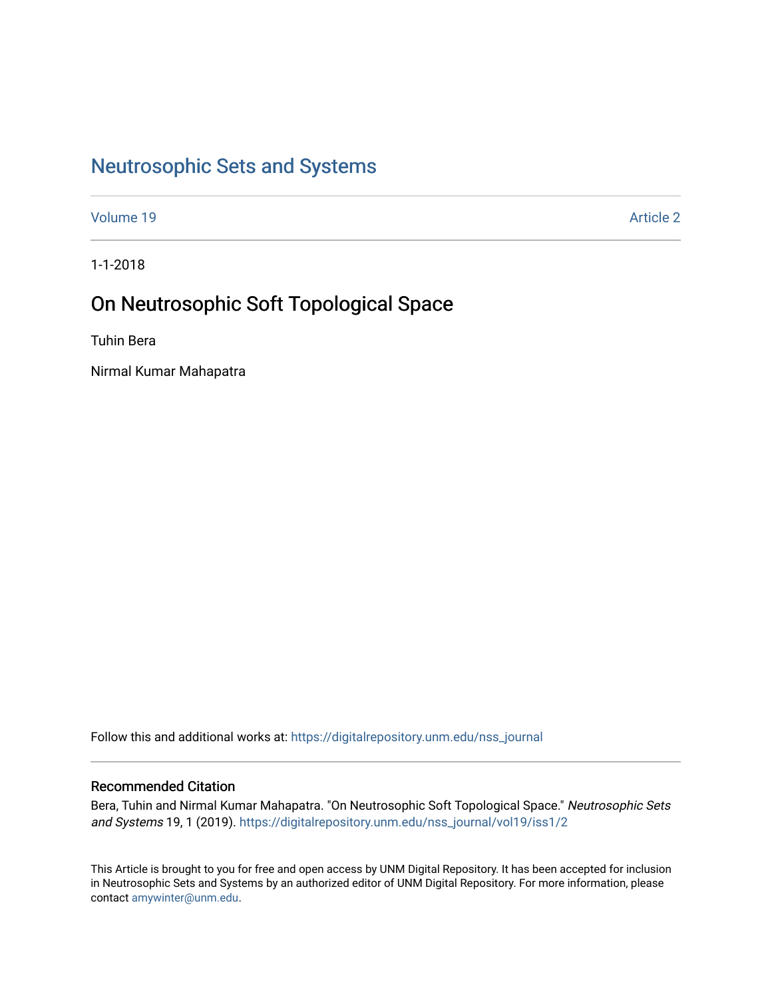# [Neutrosophic Sets and Systems](https://digitalrepository.unm.edu/nss_journal)

[Volume 19](https://digitalrepository.unm.edu/nss_journal/vol19) [Article 2](https://digitalrepository.unm.edu/nss_journal/vol19/iss1/2) 

1-1-2018

# On Neutrosophic Soft Topological Space

Tuhin Bera

Nirmal Kumar Mahapatra

Follow this and additional works at: [https://digitalrepository.unm.edu/nss\\_journal](https://digitalrepository.unm.edu/nss_journal?utm_source=digitalrepository.unm.edu%2Fnss_journal%2Fvol19%2Fiss1%2F2&utm_medium=PDF&utm_campaign=PDFCoverPages) 

#### Recommended Citation

Bera, Tuhin and Nirmal Kumar Mahapatra. "On Neutrosophic Soft Topological Space." Neutrosophic Sets and Systems 19, 1 (2019). [https://digitalrepository.unm.edu/nss\\_journal/vol19/iss1/2](https://digitalrepository.unm.edu/nss_journal/vol19/iss1/2?utm_source=digitalrepository.unm.edu%2Fnss_journal%2Fvol19%2Fiss1%2F2&utm_medium=PDF&utm_campaign=PDFCoverPages) 

This Article is brought to you for free and open access by UNM Digital Repository. It has been accepted for inclusion in Neutrosophic Sets and Systems by an authorized editor of UNM Digital Repository. For more information, please contact [amywinter@unm.edu](mailto:amywinter@unm.edu).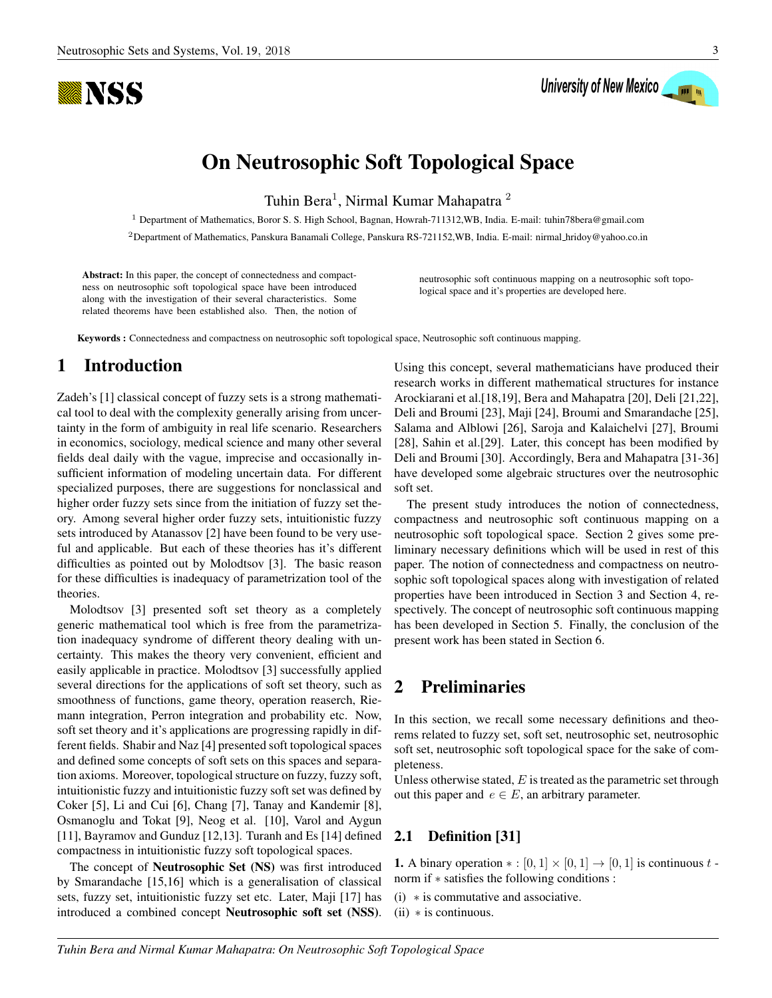

# University of New Mexico

# On Neutrosophic Soft Topological Space

Tuhin Bera<sup>1</sup>, Nirmal Kumar Mahapatra<sup>2</sup>

<sup>1</sup> Department of Mathematics, Boror S. S. High School, Bagnan, Howrah-711312,WB, India. E-mail: tuhin78bera@gmail.com

<sup>2</sup>Department of Mathematics, Panskura Banamali College, Panskura RS-721152,WB, India. E-mail: nirmal hridoy@yahoo.co.in

Abstract: In this paper, the concept of connectedness and compactness on neutrosophic soft topological space have been introduced along with the investigation of their several characteristics. Some related theorems have been established also. Then, the notion of

neutrosophic soft continuous mapping on a neutrosophic soft topological space and it's properties are developed here.

Keywords : Connectedness and compactness on neutrosophic soft topological space, Neutrosophic soft continuous mapping.

# 1 Introduction

Zadeh's [1] classical concept of fuzzy sets is a strong mathematical tool to deal with the complexity generally arising from uncertainty in the form of ambiguity in real life scenario. Researchers in economics, sociology, medical science and many other several fields deal daily with the vague, imprecise and occasionally insufficient information of modeling uncertain data. For different specialized purposes, there are suggestions for nonclassical and higher order fuzzy sets since from the initiation of fuzzy set theory. Among several higher order fuzzy sets, intuitionistic fuzzy sets introduced by Atanassov [2] have been found to be very useful and applicable. But each of these theories has it's different difficulties as pointed out by Molodtsov [3]. The basic reason for these difficulties is inadequacy of parametrization tool of the theories.

Molodtsov [3] presented soft set theory as a completely generic mathematical tool which is free from the parametrization inadequacy syndrome of different theory dealing with uncertainty. This makes the theory very convenient, efficient and easily applicable in practice. Molodtsov [3] successfully applied several directions for the applications of soft set theory, such as smoothness of functions, game theory, operation reaserch, Riemann integration, Perron integration and probability etc. Now, soft set theory and it's applications are progressing rapidly in different fields. Shabir and Naz [4] presented soft topological spaces and defined some concepts of soft sets on this spaces and separation axioms. Moreover, topological structure on fuzzy, fuzzy soft, intuitionistic fuzzy and intuitionistic fuzzy soft set was defined by Coker [5], Li and Cui [6], Chang [7], Tanay and Kandemir [8], Osmanoglu and Tokat [9], Neog et al. [10], Varol and Aygun [11], Bayramov and Gunduz [12,13]. Turanh and Es [14] defined compactness in intuitionistic fuzzy soft topological spaces.

The concept of Neutrosophic Set (NS) was first introduced by Smarandache [15,16] which is a generalisation of classical sets, fuzzy set, intuitionistic fuzzy set etc. Later, Maji [17] has introduced a combined concept Neutrosophic soft set (NSS). Using this concept, several mathematicians have produced their research works in different mathematical structures for instance Arockiarani et al.[18,19], Bera and Mahapatra [20], Deli [21,22], Deli and Broumi [23], Maji [24], Broumi and Smarandache [25], Salama and Alblowi [26], Saroja and Kalaichelvi [27], Broumi [28], Sahin et al.[29]. Later, this concept has been modified by Deli and Broumi [30]. Accordingly, Bera and Mahapatra [31-36] have developed some algebraic structures over the neutrosophic soft set.

The present study introduces the notion of connectedness, compactness and neutrosophic soft continuous mapping on a neutrosophic soft topological space. Section 2 gives some preliminary necessary definitions which will be used in rest of this paper. The notion of connectedness and compactness on neutrosophic soft topological spaces along with investigation of related properties have been introduced in Section 3 and Section 4, respectively. The concept of neutrosophic soft continuous mapping has been developed in Section 5. Finally, the conclusion of the present work has been stated in Section 6.

# 2 Preliminaries

In this section, we recall some necessary definitions and theorems related to fuzzy set, soft set, neutrosophic set, neutrosophic soft set, neutrosophic soft topological space for the sake of completeness.

Unless otherwise stated,  $E$  is treated as the parametric set through out this paper and  $e \in E$ , an arbitrary parameter.

### 2.1 Definition [31]

**1.** A binary operation  $* : [0,1] \times [0,1] \rightarrow [0,1]$  is continuous t norm if ∗ satisfies the following conditions :

- (i) ∗ is commutative and associative.
- $(ii)$  \* is continuous.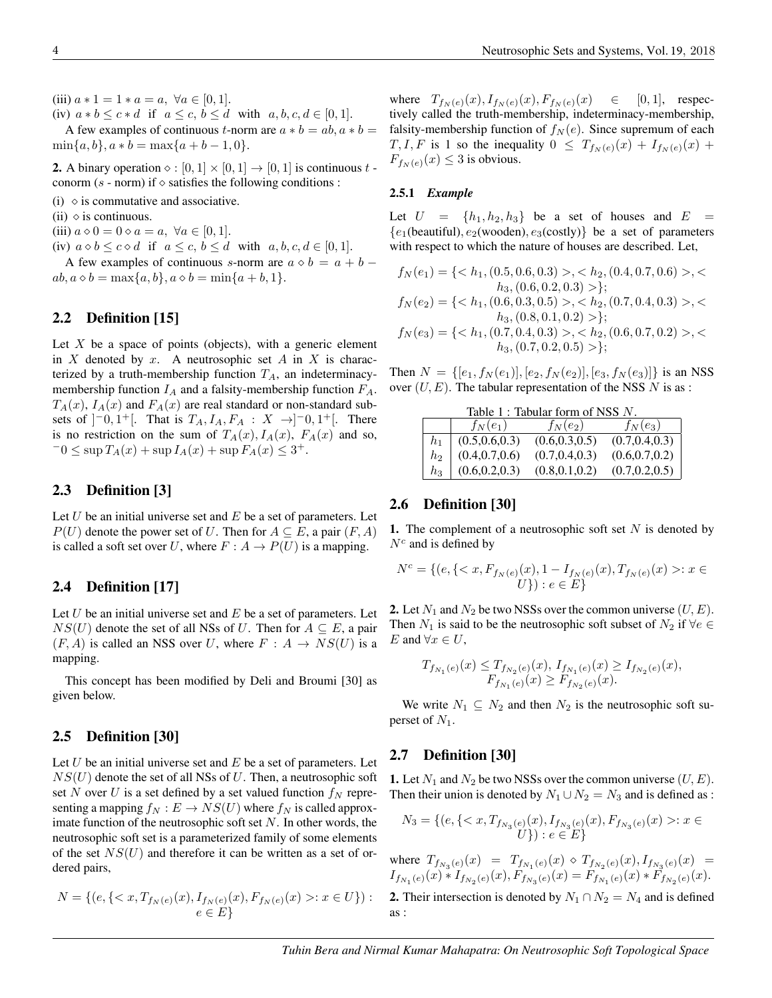(iii)  $a * 1 = 1 * a = a, \forall a \in [0, 1].$ 

(iv)  $a * b \leq c * d$  if  $a \leq c, b \leq d$  with  $a, b, c, d \in [0, 1]$ .

A few examples of continuous t-norm are  $a * b = ab$ ,  $a * b =$  $\min\{a, b\}, a * b = \max\{a + b - 1, 0\}.$ 

**2.** A binary operation  $\diamond : [0, 1] \times [0, 1] \rightarrow [0, 1]$  is continuous t conorm (s - norm) if  $\diamond$  satisfies the following conditions :

(i)  $\Diamond$  is commutative and associative.

(ii)  $\Diamond$  is continuous.

(iii)  $a \circ 0 = 0 \circ a = a, \ \forall a \in [0, 1].$ 

(iv)  $a \diamond b \leq c \diamond d$  if  $a \leq c, b \leq d$  with  $a, b, c, d \in [0, 1]$ .

A few examples of continuous s-norm are  $a \diamond b = a + b$  –  $ab, a \diamond b = \max\{a, b\}, a \diamond b = \min\{a + b, 1\}.$ 

#### 2.2 Definition [15]

Let  $X$  be a space of points (objects), with a generic element in  $X$  denoted by  $x$ . A neutrosophic set  $A$  in  $X$  is characterized by a truth-membership function  $T_A$ , an indeterminacymembership function  $I_A$  and a falsity-membership function  $F_A$ .  $T_A(x)$ ,  $I_A(x)$  and  $F_A(x)$  are real standard or non-standard subsets of  $]^{-0}, 1^{+}[$ . That is  $T_A, I_A, F_A : X \rightarrow ]^{-0}, 1^{+}[$ . There is no restriction on the sum of  $T_A(x)$ ,  $I_A(x)$ ,  $F_A(x)$  and so,  $-0 \leq \sup T_A(x) + \sup I_A(x) + \sup F_A(x) \leq 3^+.$ 

#### 2.3 Definition [3]

Let  $U$  be an initial universe set and  $E$  be a set of parameters. Let  $P(U)$  denote the power set of U. Then for  $A \subseteq E$ , a pair  $(F, A)$ is called a soft set over U, where  $F : A \rightarrow P(U)$  is a mapping.

#### 2.4 Definition [17]

Let  $U$  be an initial universe set and  $E$  be a set of parameters. Let  $NS(U)$  denote the set of all NSs of U. Then for  $A \subseteq E$ , a pair  $(F, A)$  is called an NSS over U, where  $F : A \rightarrow NS(U)$  is a mapping.

This concept has been modified by Deli and Broumi [30] as given below.

#### 2.5 Definition [30]

Let  $U$  be an initial universe set and  $E$  be a set of parameters. Let  $NS(U)$  denote the set of all NSs of U. Then, a neutrosophic soft set N over U is a set defined by a set valued function  $f_N$  representing a mapping  $f_N : E \to NS(U)$  where  $f_N$  is called approximate function of the neutrosophic soft set  $N$ . In other words, the neutrosophic soft set is a parameterized family of some elements of the set  $NS(U)$  and therefore it can be written as a set of ordered pairs,

$$
N = \{ (e, \{ \langle x, T_{f_N(e)}(x), I_{f_N(e)}(x), F_{f_N(e)}(x) \rangle : x \in U \}) : e \in E \}
$$

where  $T_{f_N(e)}(x)$ ,  $I_{f_N(e)}(x)$ ,  $F_{f_N(e)}(x) \in [0, 1]$ , respectively called the truth-membership, indeterminacy-membership, falsity-membership function of  $f_N(e)$ . Since supremum of each  $T, I, F$  is 1 so the inequality  $0 \leq T_{f_N(e)}(x) + I_{f_N(e)}(x) +$  $F_{f_N(e)}(x) \leq 3$  is obvious.

#### 2.5.1 *Example*

Let  $U = \{h_1, h_2, h_3\}$  be a set of houses and  $E =$  ${e_1(beautiful), e_2(wooden), e_3(costly)}$  be a set of parameters with respect to which the nature of houses are described. Let,

$$
f_N(e_1) = \{< h_1, (0.5, 0.6, 0.3) > , < h_2, (0.4, 0.7, 0.6) > , < \\ h_3, (0.6, 0.2, 0.3) > \};
$$
\n
$$
f_N(e_2) = \{< h_1, (0.6, 0.3, 0.5) > , < h_2, (0.7, 0.4, 0.3) > , < \\ h_3, (0.8, 0.1, 0.2) > \};
$$
\n
$$
f_N(e_3) = \{< h_1, (0.7, 0.4, 0.3) > , < h_2, (0.6, 0.7, 0.2) > , < \\ h_3, (0.7, 0.2, 0.5) > \};
$$

Then  $N = \{ [e_1, f_N(e_1)], [e_2, f_N(e_2)], [e_3, f_N(e_3)] \}$  is an NSS over  $(U, E)$ . The tabular representation of the NSS N is as :

| Table 1 : Tabular form of NSS $N$ . |       |                                                                                |                 |                 |
|-------------------------------------|-------|--------------------------------------------------------------------------------|-----------------|-----------------|
|                                     |       | $f_N(e_1)$                                                                     | $f_N(e_2)$      | $f_N(e_3)$      |
|                                     |       |                                                                                | (0.6, 0.3, 0.5) | (0.7, 0.4, 0.3) |
|                                     |       | $\begin{array}{c c} h_1 & (0.5, 0.6, 0.3) \ h_2 & (0.4, 0.7, 0.6) \end{array}$ | (0.7, 0.4, 0.3) | (0.6, 0.7, 0.2) |
|                                     | $h_3$ | (0.6, 0.2, 0.3)                                                                | (0.8, 0.1, 0.2) | (0.7, 0.2, 0.5) |

#### 2.6 Definition [30]

1. The complement of a neutrosophic soft set  $N$  is denoted by  $N^c$  and is defined by

$$
N^{c} = \{(e, \{: x \in U\}) : e \in E\}
$$

**2.** Let  $N_1$  and  $N_2$  be two NSSs over the common universe  $(U, E)$ . Then  $N_1$  is said to be the neutrosophic soft subset of  $N_2$  if  $\forall e \in$ E and  $\forall x \in U$ ,

$$
T_{f_{N_1}(e)}(x) \leq T_{f_{N_2}(e)}(x), I_{f_{N_1}(e)}(x) \geq I_{f_{N_2}(e)}(x),
$$
  

$$
F_{f_{N_1}(e)}(x) \geq F_{f_{N_2}(e)}(x).
$$

We write  $N_1 \subseteq N_2$  and then  $N_2$  is the neutrosophic soft superset of  $N_1$ .

#### 2.7 Definition [30]

1. Let  $N_1$  and  $N_2$  be two NSSs over the common universe  $(U, E)$ . Then their union is denoted by  $N_1 \cup N_2 = N_3$  and is defined as :

$$
N_3 = \{ (e, \{: x \in U \}) : e \in E \}
$$

where  $T_{f_{N_3}(e)}(x) = T_{f_{N_1}(e)}(x) \diamond T_{f_{N_2}(e)}(x)$ ,  $I_{f_{N_3}(e)}(x) =$  $I_{f_{N_1}(e)}(x) * I_{f_{N_2}(e)}(x), F_{f_{N_3}(e)}(x) = F_{f_{N_1}(e)}(x) * F_{f_{N_2}(e)}(x).$ 

2. Their intersection is denoted by  $N_1 \cap N_2 = N_4$  and is defined as :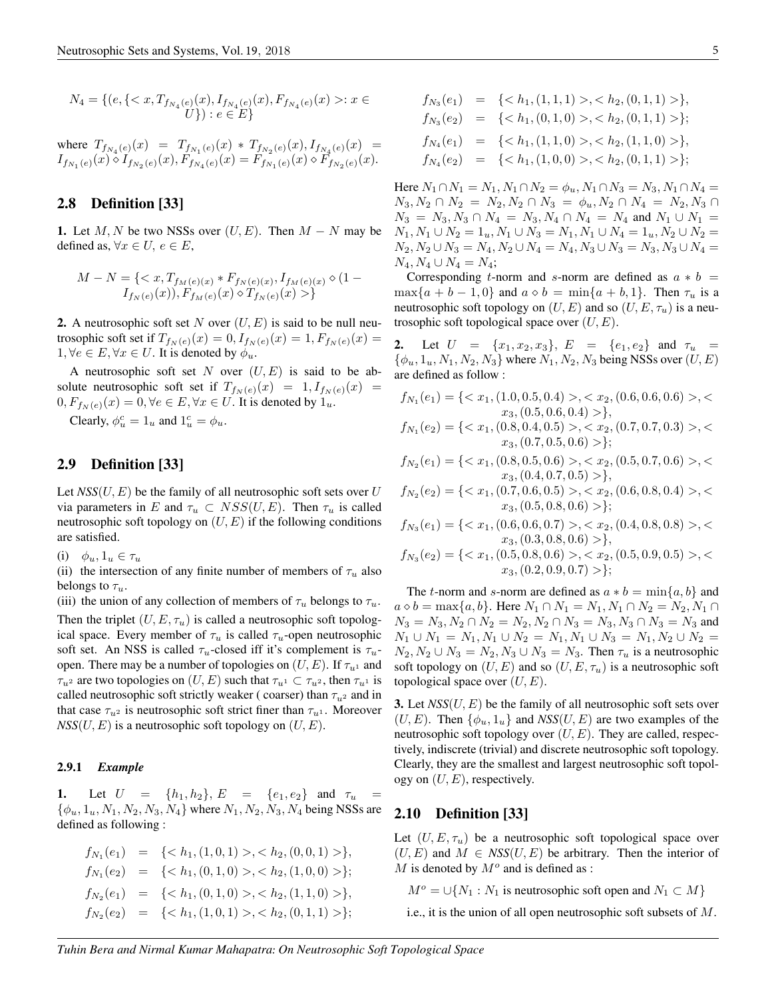$$
N_4 = \{ (e, \{: x \in U \}) : e \in E \}
$$

where 
$$
T_{f_{N_4}(e)}(x) = T_{f_{N_1}(e)}(x) * T_{f_{N_2}(e)}(x), I_{f_{N_4}(e)}(x) = I_{f_{N_1}(e)}(x) \circ I_{f_{N_2}(e)}(x), F_{f_{N_4}(e)}(x) = F_{f_{N_1}(e)}(x) \circ F_{f_{N_2}(e)}(x).
$$

#### 2.8 Definition [33]

1. Let  $M, N$  be two NSSs over  $(U, E)$ . Then  $M - N$  may be defined as,  $\forall x \in U, e \in E$ ,

$$
M - N = \{  \}
$$

**2.** A neutrosophic soft set N over  $(U, E)$  is said to be null neutrosophic soft set if  $T_{f_N(e)}(x) = 0, I_{f_N(e)}(x) = 1, F_{f_N(e)}(x) = 1$  $1, \forall e \in E, \forall x \in U$ . It is denoted by  $\phi_u$ .

A neutrosophic soft set N over  $(U, E)$  is said to be absolute neutrosophic soft set if  $T_{f_N(e)}(x) = 1, I_{f_N(e)}(x) =$  $0, F_{f_N(e)}(x) = 0, \forall e \in E, \forall x \in U$ . It is denoted by  $1_u$ .

Clearly,  $\phi_u^c = 1_u$  and  $1_u^c = \phi_u$ .

#### 2.9 Definition [33]

Let  $NSS(U, E)$  be the family of all neutrosophic soft sets over U via parameters in E and  $\tau_u \subset \text{NSS}(U, E)$ . Then  $\tau_u$  is called neutrosophic soft topology on  $(U, E)$  if the following conditions are satisfied.

(i)  $\phi_u, 1_u \in \tau_u$ 

(ii) the intersection of any finite number of members of  $\tau_u$  also belongs to  $\tau_u$ .

(iii) the union of any collection of members of  $\tau_u$  belongs to  $\tau_u$ . Then the triplet  $(U, E, \tau_u)$  is called a neutrosophic soft topological space. Every member of  $\tau_u$  is called  $\tau_u$ -open neutrosophic soft set. An NSS is called  $\tau_u$ -closed iff it's complement is  $\tau_u$ open. There may be a number of topologies on  $(U, E)$ . If  $\tau_{u}$  and  $\tau_{u^2}$  are two topologies on  $(U, E)$  such that  $\tau_{u^1} \subset \tau_{u^2}$ , then  $\tau_{u^1}$  is called neutrosophic soft strictly weaker (coarser) than  $\tau_{u^2}$  and in that case  $\tau_{u^2}$  is neutrosophic soft strict finer than  $\tau_{u^1}$ . Moreover  $NSS(U, E)$  is a neutrosophic soft topology on  $(U, E)$ .

#### 2.9.1 *Example*

1. Let  $U = \{h_1, h_2\}, E = \{e_1, e_2\}$  and  $\tau_u$  $\{\phi_u, 1_u, N_1, N_2, N_3, N_4\}$  where  $N_1, N_2, N_3, N_4$  being NSSs are defined as following :

$$
f_{N_1}(e_1) = \{, \},
$$
  
\n
$$
f_{N_1}(e_2) = \{, \};
$$
  
\n
$$
f_{N_2}(e_1) = \{, \},
$$
  
\n
$$
f_{N_2}(e_2) = \{, \};
$$

$$
f_{N_3}(e_1) = \{ ,   
\n
$$
f_{N_3}(e_2) = \{ ,   
\n
$$
f_{N_4}(e_1) = \{ ,   
\n
$$
f_{N_4}(e_2) = \{ ,
$$
$$
$$
$$

Here  $N_1 \cap N_1 = N_1, N_1 \cap N_2 = \phi_u, N_1 \cap N_3 = N_3, N_1 \cap N_4 =$  $N_3, N_2 \cap N_2 = N_2, N_2 \cap N_3 = \phi_u, N_2 \cap N_4 = N_2, N_3 \cap N_4$  $N_3 = N_3, N_3 \cap N_4 = N_3, N_4 \cap N_4 = N_4$  and  $N_1 \cup N_1 =$  $N_1, N_1 \cup N_2 = 1_u, N_1 \cup N_3 = N_1, N_1 \cup N_4 = 1_u, N_2 \cup N_2 =$  $N_2, N_2 \cup N_3 = N_4, N_2 \cup N_4 = N_4, N_3 \cup N_3 = N_3, N_3 \cup N_4 =$  $N_4, N_4 \cup N_4 = N_4;$ 

Corresponding t-norm and s-norm are defined as  $a * b =$  $\max\{a + b - 1, 0\}$  and  $a \diamond b = \min\{a + b, 1\}$ . Then  $\tau_u$  is a neutrosophic soft topology on  $(U, E)$  and so  $(U, E, \tau_u)$  is a neutrosophic soft topological space over  $(U, E)$ .

2. Let  $U = \{x_1, x_2, x_3\}, E = \{e_1, e_2\}$  and  $\tau_u =$  $\{\phi_u, 1_u, N_1, N_2, N_3\}$  where  $N_1, N_2, N_3$  being NSSs over  $(U, E)$ are defined as follow :

$$
f_{N_1}(e_1) = \{< x_1, (1.0, 0.5, 0.4) > , < x_2, (0.6, 0.6, 0.6) > , < \\ x_3, (0.5, 0.6, 0.4) > \},
$$
\n
$$
f_{N_1}(e_2) = \{< x_1, (0.8, 0.4, 0.5) > , < x_2, (0.7, 0.7, 0.3) > , < \\ x_3, (0.7, 0.5, 0.6) > \};
$$

$$
f_{N_2}(e_1) = \{ \langle x_1, (0.8, 0.5, 0.6) \rangle, \langle x_2, (0.5, 0.7, 0.6) \rangle, \langle x_3, (0.4, 0.7, 0.5) \rangle \},
$$

 $f_{N_2}(e_2) = \{ \langle x_1, (0.7, 0.6, 0.5) \rangle, \langle x_2, (0.6, 0.8, 0.4) \rangle, \langle x_3, (0.6, 0.7, 0.6, 0.6) \rangle, \langle x_4, (0.7, 0.6, 0.6, 0.6) \rangle, \langle x_5, (0.7, 0.6, 0.6, 0.6) \rangle, \langle x_6, (0.7, 0.6, 0.6, 0.6) \rangle, \langle x_7, (0.7, 0.6, 0.6, 0.6, 0.6) \rangle, \langle x_8, (0.$  $x_3$ ,  $(0.5, 0.8, 0.6) >$ ;

$$
f_{N_3}(e_1) = \{ \langle x_1, (0.6, 0.6, 0.7) \rangle, \langle x_2, (0.4, 0.8, 0.8) \rangle, \langle x_3, (0.3, 0.8, 0.6) \rangle \},
$$

$$
f_{N_3}(e_2) = \{ \langle x_1, (0.5, 0.8, 0.6) \rangle, \langle x_2, (0.5, 0.9, 0.5) \rangle, \langle x_3, (0.2, 0.9, 0.7) \rangle \};
$$

The t-norm and s-norm are defined as  $a * b = min\{a, b\}$  and  $a \diamond b = \max\{a, b\}.$  Here  $N_1 \cap N_1 = N_1, N_1 \cap N_2 = N_2, N_1 \cap N_2$  $N_3 = N_3, N_2 \cap N_2 = N_2, N_2 \cap N_3 = N_3, N_3 \cap N_3 = N_3$  and  $N_1 \cup N_1 = N_1, N_1 \cup N_2 = N_1, N_1 \cup N_3 = N_1, N_2 \cup N_2 =$  $N_2, N_2 \cup N_3 = N_2, N_3 \cup N_3 = N_3$ . Then  $\tau_u$  is a neutrosophic soft topology on  $(U, E)$  and so  $(U, E, \tau_u)$  is a neutrosophic soft topological space over  $(U, E)$ .

**3.** Let  $NSS(U, E)$  be the family of all neutrosophic soft sets over  $(U, E)$ . Then  $\{\phi_u, 1_u\}$  and  $NSS(U, E)$  are two examples of the neutrosophic soft topology over  $(U, E)$ . They are called, respectively, indiscrete (trivial) and discrete neutrosophic soft topology. Clearly, they are the smallest and largest neutrosophic soft topology on  $(U, E)$ , respectively.

#### 2.10 Definition [33]

Let  $(U, E, \tau_u)$  be a neutrosophic soft topological space over  $(U, E)$  and  $M \in \text{NSS}(U, E)$  be arbitrary. Then the interior of  $M$  is denoted by  $M^o$  and is defined as :

 $M^{\circ} = \bigcup \{N_1 : N_1$  is neutrosophic soft open and  $N_1 \subset M\}$ 

i.e., it is the union of all open neutrosophic soft subsets of M.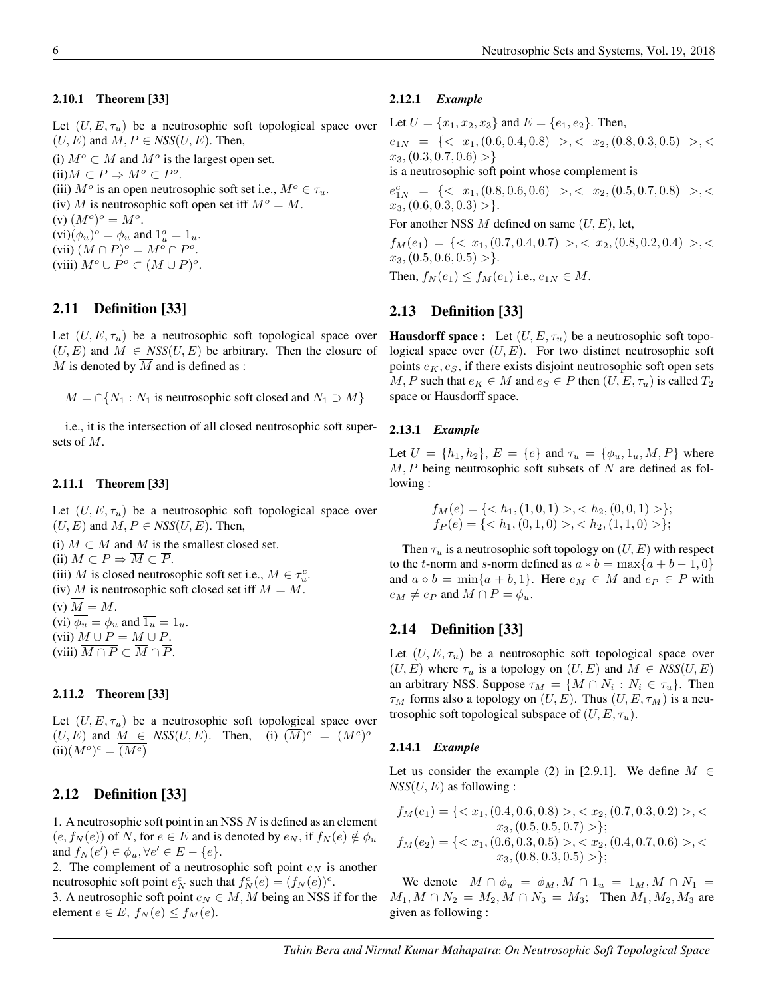#### 2.10.1 Theorem [33]

Let  $(U, E, \tau_u)$  be a neutrosophic soft topological space over  $(U, E)$  and  $M, P \in NSS(U, E)$ . Then,

(i)  $M^o \subset M$  and  $M^o$  is the largest open set.  $(ii) M \subset P \Rightarrow M^o \subset P^o.$ (iii)  $M^o$  is an open neutrosophic soft set i.e.,  $M^o \in \tau_u$ . (iv) M is neutrosophic soft open set iff  $M^o = M$ . (v)  $(M^o)^o = M^o$ .  $(vi)(\phi_u)^o = \phi_u$  and  $1_u^o = 1_u$ .

(vii)  $(M \cap P)^o = M^o \cap P^o$ . (viii)  $M^o \cup P^o \subset (M \cup P)^o$ .

#### 2.11 Definition [33]

Let  $(U, E, \tau_u)$  be a neutrosophic soft topological space over  $(U, E)$  and  $M \in NSS(U, E)$  be arbitrary. Then the closure of M is denoted by  $\overline{M}$  and is defined as :

 $M = \bigcap \{N_1 : N_1 \text{ is neutrosophic soft closed and } N_1 \supset M\}$ 

i.e., it is the intersection of all closed neutrosophic soft supersets of M.

#### 2.11.1 Theorem [33]

Let  $(U, E, \tau_u)$  be a neutrosophic soft topological space over  $(U, E)$  and  $M, P \in NSS(U, E)$ . Then,

(i)  $M \subset \overline{M}$  and  $\overline{M}$  is the smallest closed set. (ii)  $M \subset P \Rightarrow \overline{M} \subset \overline{P}$ . (iii)  $\overline{M}$  is closed neutrosophic soft set i.e.,  $\overline{M} \in \tau_u^c$ . (iv) M is neutrosophic soft closed set iff  $\overline{M} = M$ . (v)  $\overline{M} = \overline{M}$ . (vi)  $\overline{\phi_u} = \phi_u$  and  $\overline{1_u} = 1_u$ . (vii)  $\overline{M \cup P} = \overline{M} \cup \overline{P}$ .

(viii)  $\overline{M \cap P} \subset \overline{M} \cap \overline{P}$ .

#### 2.11.2 Theorem [33]

Let  $(U, E, \tau_u)$  be a neutrosophic soft topological space over  $(U, E)$  and  $M \in \text{NSS}(U, E)$ . Then, (i)  $(\overline{M})^c = (M^c)^o$  $(iii)(M^o)^c = \overline{(M^c)}$ 

#### 2.12 Definition [33]

1. A neutrosophic soft point in an NSS N is defined as an element  $(e, f_N(e))$  of N, for  $e \in E$  and is denoted by  $e_N$ , if  $f_N(e) \notin \phi_u$ and  $f_N(e') \in \phi_u, \forall e' \in E - \{e\}.$ 

2. The complement of a neutrosophic soft point  $e_N$  is another neutrosophic soft point  $e_N^c$  such that  $f_N^c(e) = (f_N(e))^c$ .

3. A neutrosophic soft point  $e_N \in M$ , M being an NSS if for the element  $e \in E$ ,  $f_N(e) \le f_M(e)$ .

#### 2.12.1 *Example*

Let  $U = \{x_1, x_2, x_3\}$  and  $E = \{e_1, e_2\}$ . Then,  $e_{1N} = \{ \langle x_1, (0.6, 0.4, 0.8) \rangle, \langle x_2, (0.8, 0.3, 0.5) \rangle, \langle x_3, (0.8, 0.4, 0.5) \rangle, \langle x_4, (0.8, 0.3, 0.5) \rangle, \langle x_5, (0.8, 0.3, 0.5) \rangle, \langle x_6, (0.8, 0.3, 0.5) \rangle, \langle x_7, (0.8, 0.3, 0.5) \rangle, \langle x_8, (0.8, 0.3, 0.5) \rangle, \langle x_9, (0.8, 0.3, 0.5$  $x_3$ ,  $(0.3, 0.7, 0.6) >$ 

is a neutrosophic soft point whose complement is

 $e_{1N}^c = \{ , , < \}$  $x_3$ ,  $(0.6, 0.3, 0.3)$  > }.

For another NSS  $M$  defined on same  $(U, E)$ , let,

 $f_M(e_1) = \{ \langle x_1, (0.7, 0.4, 0.7) \rangle, \langle x_2, (0.8, 0.2, 0.4) \rangle, \langle x_3, (0.8, 0.4, 0.7) \rangle, \langle x_4, (0.8, 0.4, 0.7) \rangle, \langle x_5, (0.8, 0.4, 0.7) \rangle, \langle x_6, (0.8, 0.4, 0.7) \rangle, \langle x_7, (0.8, 0.4, 0.7) \rangle, \langle x_8, (0.8, 0.4, 0.7) \rangle, \langle x_9, (0.8, 0.4, 0.$  $x_3$ ,  $(0.5, 0.6, 0.5) >$ .

Then,  $f_N(e_1) \le f_M(e_1)$  i.e.,  $e_{1N} \in M$ .

#### 2.13 Definition [33]

**Hausdorff space :** Let  $(U, E, \tau_u)$  be a neutrosophic soft topological space over  $(U, E)$ . For two distinct neutrosophic soft points  $e<sub>K</sub>, e<sub>S</sub>$ , if there exists disjoint neutrosophic soft open sets M, P such that  $e_K \in M$  and  $e_S \in P$  then  $(U, E, \tau_u)$  is called  $T_2$ space or Hausdorff space.

#### 2.13.1 *Example*

Let  $U = \{h_1, h_2\}$ ,  $E = \{e\}$  and  $\tau_u = \{\phi_u, 1_u, M, P\}$  where  $M, P$  being neutrosophic soft subsets of N are defined as following :

$$
f_M(e) = \{ < h_1, (1, 0, 1) > \, < h_2, (0, 0, 1) > \};
$$
\n
$$
f_P(e) = \{ < h_1, (0, 1, 0) > \, < h_2, (1, 1, 0) > \};
$$

Then  $\tau_u$  is a neutrosophic soft topology on  $(U, E)$  with respect to the t-norm and s-norm defined as  $a * b = \max\{a + b - 1, 0\}$ and  $a \circ b = \min\{a + b, 1\}$ . Here  $e_M \in M$  and  $e_P \in P$  with  $e_M \neq e_P$  and  $M \cap P = \phi_u$ .

#### 2.14 Definition [33]

Let  $(U, E, \tau_u)$  be a neutrosophic soft topological space over  $(U, E)$  where  $\tau_u$  is a topology on  $(U, E)$  and  $M \in NSS(U, E)$ an arbitrary NSS. Suppose  $\tau_M = \{M \cap N_i : N_i \in \tau_u\}$ . Then  $\tau_M$  forms also a topology on  $(U, E)$ . Thus  $(U, E, \tau_M)$  is a neutrosophic soft topological subspace of  $(U, E, \tau_u)$ .

#### 2.14.1 *Example*

Let us consider the example (2) in [2.9.1]. We define  $M \in$  $NSS(U, E)$  as following :

$$
f_M(e_1) = \{< x_1, (0.4, 0.6, 0.8) > , < x_2, (0.7, 0.3, 0.2) > , < x_3, (0.5, 0.5, 0.7) > \};
$$
\n
$$
f_M(e_2) = \{< x_1, (0.6, 0.3, 0.5) > , < x_2, (0.4, 0.7, 0.6) > , < x_3, (0.8, 0.3, 0.5) > \};
$$

We denote  $M \cap \phi_u = \phi_M, M \cap 1_u = 1_M, M \cap N_1 =$  $M_1, M \cap N_2 = M_2, M \cap N_3 = M_3$ ; Then  $M_1, M_2, M_3$  are given as following :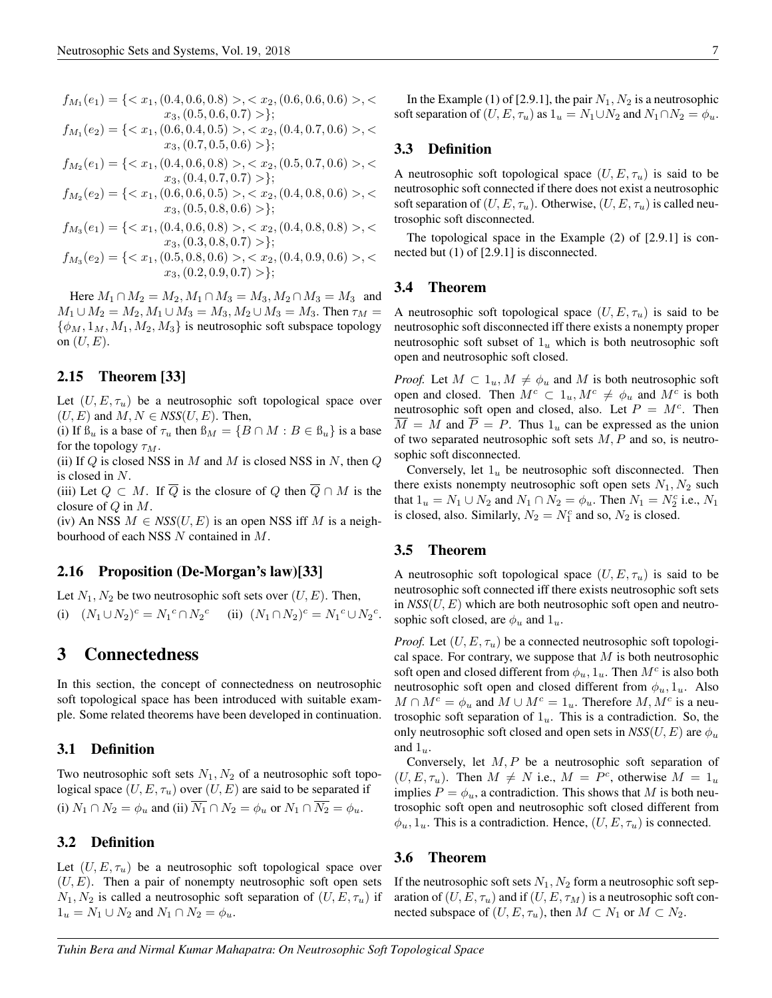$$
f_{M_1}(e_1) = \{ \langle x_1, (0.4, 0.6, 0.8) \rangle, \langle x_2, (0.6, 0.6, 0.6) \rangle, \langle x_3, (0.5, 0.6, 0.7) \rangle \};
$$

$$
f_{M_1}(e_2) = \{ \langle x_1, (0.6, 0.4, 0.5) \rangle, \langle x_2, (0.4, 0.7, 0.6) \rangle, \langle x_3, (0.7, 0.5, 0.6) \rangle \};
$$

 $f_{M_2}(e_1) = \{ \langle x_1, (0.4, 0.6, 0.8) \rangle, \langle x_2, (0.5, 0.7, 0.6) \rangle, \langle x_3, (0.7, 0.6) \rangle, \langle x_4, (0.7, 0.6) \rangle, \langle x_5, (0.7, 0.6) \rangle, \langle x_6, (0.7, 0.6) \rangle, \langle x_7, (0.7, 0.6) \rangle, \langle x_8, (0.7, 0.6) \rangle, \langle x_9, (0.7, 0.6) \rangle, \langle x_1, (0.7, 0.6) \rangle, \langle x_2, ($  $x_3$ ,  $(0.4, 0.7, 0.7) >$ ;

$$
f_{M_2}(e_2) = \{ \langle x_1, (0.6, 0.6, 0.5) \rangle, \langle x_2, (0.4, 0.8, 0.6) \rangle, \langle x_3, (0.5, 0.8, 0.6) \rangle \};
$$

$$
f_{M_3}(e_1) = \{ \langle x_1, (0.4, 0.6, 0.8) \rangle, \langle x_2, (0.4, 0.8, 0.8) \rangle, \langle x_3, (0.3, 0.8, 0.7) \rangle \};
$$

$$
f_{M_3}(e_2) = \{ \langle x_1, (0.5, 0.8, 0.6) \rangle, \langle x_2, (0.4, 0.9, 0.6) \rangle, \langle x_3, (0.2, 0.9, 0.7) \rangle \};
$$

Here  $M_1 \cap M_2 = M_2, M_1 \cap M_3 = M_3, M_2 \cap M_3 = M_3$  and  $M_1 \cup M_2 = M_2, M_1 \cup M_3 = M_3, M_2 \cup M_3 = M_3$ . Then  $\tau_M$  =  $\{\phi_M, 1_M, M_1, M_2, M_3\}$  is neutrosophic soft subspace topology on  $(U, E)$ .

#### 2.15 Theorem [33]

Let  $(U, E, \tau_u)$  be a neutrosophic soft topological space over  $(U, E)$  and  $M, N \in NSS(U, E)$ . Then,

(i) If  $\mathcal{B}_u$  is a base of  $\tau_u$  then  $\mathcal{B}_M = \{B \cap M : B \in \mathcal{B}_u\}$  is a base for the topology  $\tau_M$ .

(ii) If  $Q$  is closed NSS in M and M is closed NSS in N, then  $Q$ is closed in N.

(iii) Let  $Q \subset M$ . If  $\overline{Q}$  is the closure of Q then  $\overline{Q} \cap M$  is the closure of  $Q$  in  $M$ .

(iv) An NSS  $M \in NSS(U, E)$  is an open NSS iff M is a neighbourhood of each NSS N contained in M.

#### 2.16 Proposition (De-Morgan's law)[33]

Let  $N_1, N_2$  be two neutrosophic soft sets over  $(U, E)$ . Then,

(i)  $(N_1 \cup N_2)^c = N_1^c \cap N_2^c$  (ii)  $(N_1 \cap N_2)^c = N_1^c \cup N_2^c$ .

## 3 Connectedness

In this section, the concept of connectedness on neutrosophic soft topological space has been introduced with suitable example. Some related theorems have been developed in continuation.

#### 3.1 Definition

Two neutrosophic soft sets  $N_1, N_2$  of a neutrosophic soft topological space  $(U, E, \tau_u)$  over  $(U, E)$  are said to be separated if (i)  $N_1 \cap N_2 = \phi_u$  and (ii)  $\overline{N_1} \cap N_2 = \phi_u$  or  $N_1 \cap \overline{N_2} = \phi_u$ .

#### 3.2 Definition

Let  $(U, E, \tau_u)$  be a neutrosophic soft topological space over  $(U, E)$ . Then a pair of nonempty neutrosophic soft open sets  $N_1, N_2$  is called a neutrosophic soft separation of  $(U, E, \tau_u)$  if  $1_u = N_1 \cup N_2$  and  $N_1 \cap N_2 = \phi_u$ .

In the Example (1) of [2.9.1], the pair  $N_1$ ,  $N_2$  is a neutrosophic soft separation of  $(U, E, \tau_u)$  as  $1_u = N_1 \cup N_2$  and  $N_1 \cap N_2 = \phi_u$ .

#### 3.3 Definition

A neutrosophic soft topological space  $(U, E, \tau_u)$  is said to be neutrosophic soft connected if there does not exist a neutrosophic soft separation of  $(U, E, \tau_u)$ . Otherwise,  $(U, E, \tau_u)$  is called neutrosophic soft disconnected.

The topological space in the Example (2) of [2.9.1] is connected but (1) of [2.9.1] is disconnected.

#### 3.4 Theorem

A neutrosophic soft topological space  $(U, E, \tau_u)$  is said to be neutrosophic soft disconnected iff there exists a nonempty proper neutrosophic soft subset of  $1_u$  which is both neutrosophic soft open and neutrosophic soft closed.

*Proof.* Let  $M \subset 1_u, M \neq \phi_u$  and M is both neutrosophic soft open and closed. Then  $M^c \subset 1_u, M^c \neq \phi_u$  and  $M^c$  is both neutrosophic soft open and closed, also. Let  $P = M^c$ . Then  $\overline{M} = M$  and  $\overline{P} = P$ . Thus  $1_u$  can be expressed as the union of two separated neutrosophic soft sets  $M, P$  and so, is neutrosophic soft disconnected.

Conversely, let  $1_u$  be neutrosophic soft disconnected. Then there exists nonempty neutrosophic soft open sets  $N_1, N_2$  such that  $1_u = N_1 \cup N_2$  and  $N_1 \cap N_2 = \phi_u$ . Then  $N_1 = N_2^c$  i.e.,  $N_1$ is closed, also. Similarly,  $N_2 = N_1^c$  and so,  $N_2$  is closed.

#### 3.5 Theorem

A neutrosophic soft topological space  $(U, E, \tau_u)$  is said to be neutrosophic soft connected iff there exists neutrosophic soft sets in  $NSS(U, E)$  which are both neutrosophic soft open and neutrosophic soft closed, are  $\phi_u$  and  $1_u$ .

*Proof.* Let  $(U, E, \tau_u)$  be a connected neutrosophic soft topological space. For contrary, we suppose that  $M$  is both neutrosophic soft open and closed different from  $\phi_u$ ,  $1_u$ . Then  $M^c$  is also both neutrosophic soft open and closed different from  $\phi_u, 1_u$ . Also  $M \cap M^c = \phi_u$  and  $M \cup M^c = 1_u$ . Therefore  $M, M^c$  is a neutrosophic soft separation of  $1_u$ . This is a contradiction. So, the only neutrosophic soft closed and open sets in  $NSS(U, E)$  are  $\phi_u$ and  $1_u$ .

Conversely, let  $M, P$  be a neutrosophic soft separation of  $(U, E, \tau_u)$ . Then  $M \neq N$  i.e.,  $M = P^c$ , otherwise  $M = 1_u$ implies  $P = \phi_u$ , a contradiction. This shows that M is both neutrosophic soft open and neutrosophic soft closed different from  $\phi_u$ ,  $1_u$ . This is a contradiction. Hence,  $(U, E, \tau_u)$  is connected.

#### 3.6 Theorem

If the neutrosophic soft sets  $N_1, N_2$  form a neutrosophic soft separation of  $(U, E, \tau_u)$  and if  $(U, E, \tau_M)$  is a neutrosophic soft connected subspace of  $(U, E, \tau_u)$ , then  $M \subset N_1$  or  $M \subset N_2$ .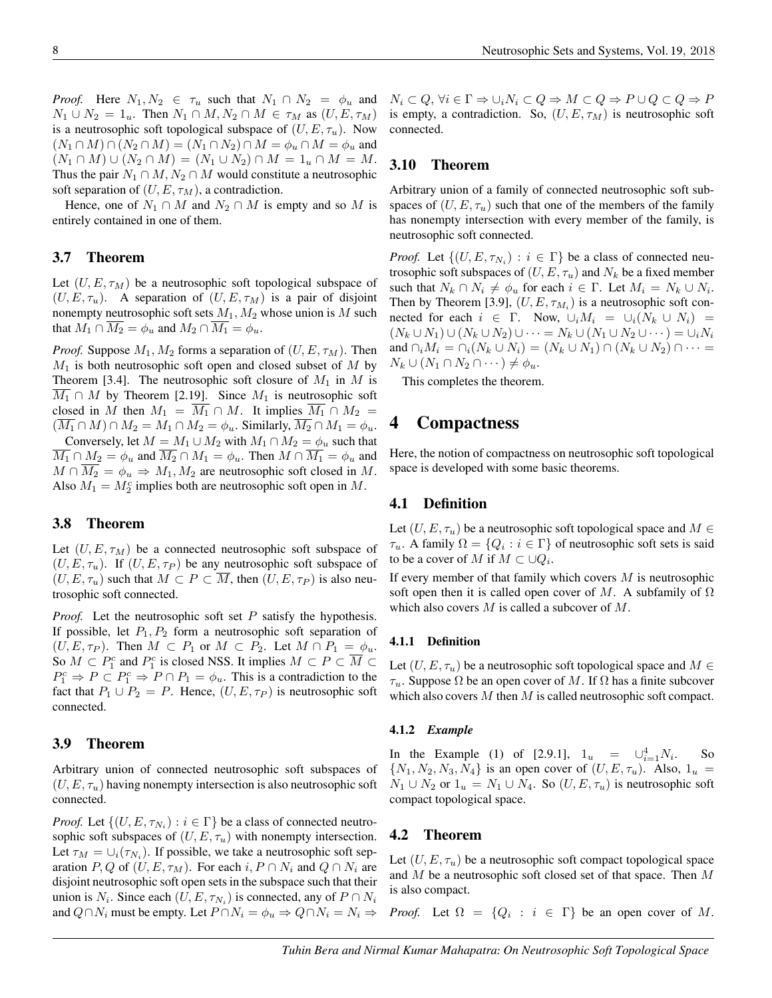*Proof.* Here  $N_1, N_2 \in \tau_u$  such that  $N_1 \cap N_2 = \phi_u$  and  $N_1 \cup N_2 = 1_u$ . Then  $N_1 \cap M$ ,  $N_2 \cap M \in \tau_M$  as  $(U, E, \tau_M)$ is a neutrosophic soft topological subspace of  $(U, E, \tau_u)$ . Now  $(N_1 \cap M) \cap (N_2 \cap M) = (N_1 \cap N_2) \cap M = \phi_u \cap M = \phi_u$  and  $(N_1 \cap M) \cup (N_2 \cap M) = (N_1 \cup N_2) \cap M = 1_u \cap M = M.$ Thus the pair  $N_1 \cap M$ ,  $N_2 \cap M$  would constitute a neutrosophic soft separation of  $(U, E, \tau_M)$ , a contradiction.

Hence, one of  $N_1 \cap M$  and  $N_2 \cap M$  is empty and so M is entirely contained in one of them.

#### 3.7 Theorem

Let  $(U, E, \tau_M)$  be a neutrosophic soft topological subspace of  $(U, E, \tau_u)$ . A separation of  $(U, E, \tau_M)$  is a pair of disjoint nonempty neutrosophic soft sets  $M_1, M_2$  whose union is M such that  $M_1 \cap \overline{M_2} = \phi_u$  and  $M_2 \cap \overline{M_1} = \phi_u$ .

*Proof.* Suppose  $M_1, M_2$  forms a separation of  $(U, E, \tau_M)$ . Then  $M_1$  is both neutrosophic soft open and closed subset of M by Theorem [3.4]. The neutrosophic soft closure of  $M_1$  in  $M$  is  $M_1 \cap M$  by Theorem [2.19]. Since  $M_1$  is neutrosophic soft closed in M then  $M_1 = \overline{M_1} \cap M$ . It implies  $\overline{M_1} \cap M_2 =$  $(M_1 \cap M) \cap M_2 = M_1 \cap M_2 = \phi_u$ . Similarly,  $M_2 \cap M_1 = \phi_u$ . Conversely, let  $M = M_1 \cup M_2$  with  $M_1 \cap M_2 = \phi_u$  such that  $\overline{M_1} \cap M_2 = \phi_u$  and  $\overline{M_2} \cap M_1 = \phi_u$ . Then  $M \cap \overline{M_1} = \phi_u$  and  $M \cap \overline{M_2} = \phi_u \Rightarrow M_1, M_2$  are neutrosophic soft closed in M. Also  $M_1 = M_2^c$  implies both are neutrosophic soft open in M.

#### 3.8 Theorem

Let  $(U, E, \tau_M)$  be a connected neutrosophic soft subspace of  $(U, E, \tau_u)$ . If  $(U, E, \tau_P)$  be any neutrosophic soft subspace of  $(U, E, \tau_u)$  such that  $M \subset P \subset \overline{M}$ , then  $(U, E, \tau_P)$  is also neutrosophic soft connected.

*Proof.* Let the neutrosophic soft set P satisfy the hypothesis. If possible, let  $P_1, P_2$  form a neutrosophic soft separation of  $(U, E, \tau_P)$ . Then  $M \subset P_1$  or  $M \subset P_2$ . Let  $M \cap P_1 = \phi_u$ . So  $M \subset P_1^c$  and  $P_1^c$  is closed NSS. It implies  $M \subset P \subset \overline{M} \subset$  $P_1^c \Rightarrow P \subset P_1^c \Rightarrow P \cap P_1 = \phi_u$ . This is a contradiction to the fact that  $P_1 \cup P_2 = P$ . Hence,  $(U, E, \tau_P)$  is neutrosophic soft connected.

#### 3.9 Theorem

Arbitrary union of connected neutrosophic soft subspaces of  $(U, E, \tau_u)$  having nonempty intersection is also neutrosophic soft connected.

*Proof.* Let  $\{(U, E, \tau_{N_i}) : i \in \Gamma\}$  be a class of connected neutrosophic soft subspaces of  $(U, E, \tau_u)$  with nonempty intersection. Let  $\tau_M = \bigcup_i (\tau_{N_i})$ . If possible, we take a neutrosophic soft separation P, Q of  $(U, E, \tau_M)$ . For each  $i, P \cap N_i$  and  $Q \cap N_i$  are disjoint neutrosophic soft open sets in the subspace such that their union is  $N_i$ . Since each  $(U, E, \tau_{N_i})$  is connected, any of  $P \cap N_i$ and  $Q \cap N_i$  must be empty. Let  $P \cap N_i = \phi_u \Rightarrow Q \cap N_i = N_i \Rightarrow$ 

 $N_i \subset Q, \forall i \in \Gamma \Rightarrow \cup_i N_i \subset Q \Rightarrow M \subset Q \Rightarrow P \cup Q \subset Q \Rightarrow P$ is empty, a contradiction. So,  $(U, E, \tau_M)$  is neutrosophic soft connected.

#### 3.10 Theorem

Arbitrary union of a family of connected neutrosophic soft subspaces of  $(U, E, \tau_u)$  such that one of the members of the family has nonempty intersection with every member of the family, is neutrosophic soft connected.

*Proof.* Let  $\{(U, E, \tau_{N_i}) : i \in \Gamma\}$  be a class of connected neutrosophic soft subspaces of  $(U, E, \tau_u)$  and  $N_k$  be a fixed member such that  $N_k \cap N_i \neq \phi_u$  for each  $i \in \Gamma$ . Let  $M_i = N_k \cup N_i$ . Then by Theorem [3.9],  $(U, E, \tau_{M_i})$  is a neutrosophic soft connected for each  $i \in \Gamma$ . Now,  $\cup_i M_i = \cup_i (N_k \cup N_i) =$  $(N_k \cup N_1) \cup (N_k \cup N_2) \cup \cdots = N_k \cup (N_1 \cup N_2 \cup \cdots) = \cup_i N_i$ and  $\cap_i M_i = \cap_i (N_k \cup N_i) = (N_k \cup N_1) \cap (N_k \cup N_2) \cap \cdots$  $N_k \cup (N_1 \cap N_2 \cap \cdots) \neq \phi_u.$ 

This completes the theorem.

## 4 Compactness

Here, the notion of compactness on neutrosophic soft topological space is developed with some basic theorems.

#### 4.1 Definition

Let  $(U, E, \tau_u)$  be a neutrosophic soft topological space and  $M \in$  $\tau_u$ . A family  $\Omega = \{Q_i : i \in \Gamma\}$  of neutrosophic soft sets is said to be a cover of M if  $M \subset \cup Q_i$ .

If every member of that family which covers  $M$  is neutrosophic soft open then it is called open cover of M. A subfamily of  $\Omega$ which also covers  $M$  is called a subcover of  $M$ .

#### 4.1.1 Definition

Let  $(U, E, \tau_u)$  be a neutrosophic soft topological space and  $M \in$  $\tau_u$ . Suppose  $\Omega$  be an open cover of M. If  $\Omega$  has a finite subcover which also covers  $M$  then  $M$  is called neutrosophic soft compact.

#### 4.1.2 *Example*

In the Example (1) of [2.9.1],  $1_u = \bigcup_{i=1}^{4} N_i$ . So  $\{N_1, N_2, N_3, N_4\}$  is an open cover of  $(U, E, \tau_u)$ . Also,  $1_u$  =  $N_1 \cup N_2$  or  $1_u = N_1 \cup N_4$ . So  $(U, E, \tau_u)$  is neutrosophic soft compact topological space.

#### 4.2 Theorem

Let  $(U, E, \tau_u)$  be a neutrosophic soft compact topological space and M be a neutrosophic soft closed set of that space. Then M is also compact.

*Proof.* Let  $\Omega = \{Q_i : i \in \Gamma\}$  be an open cover of M.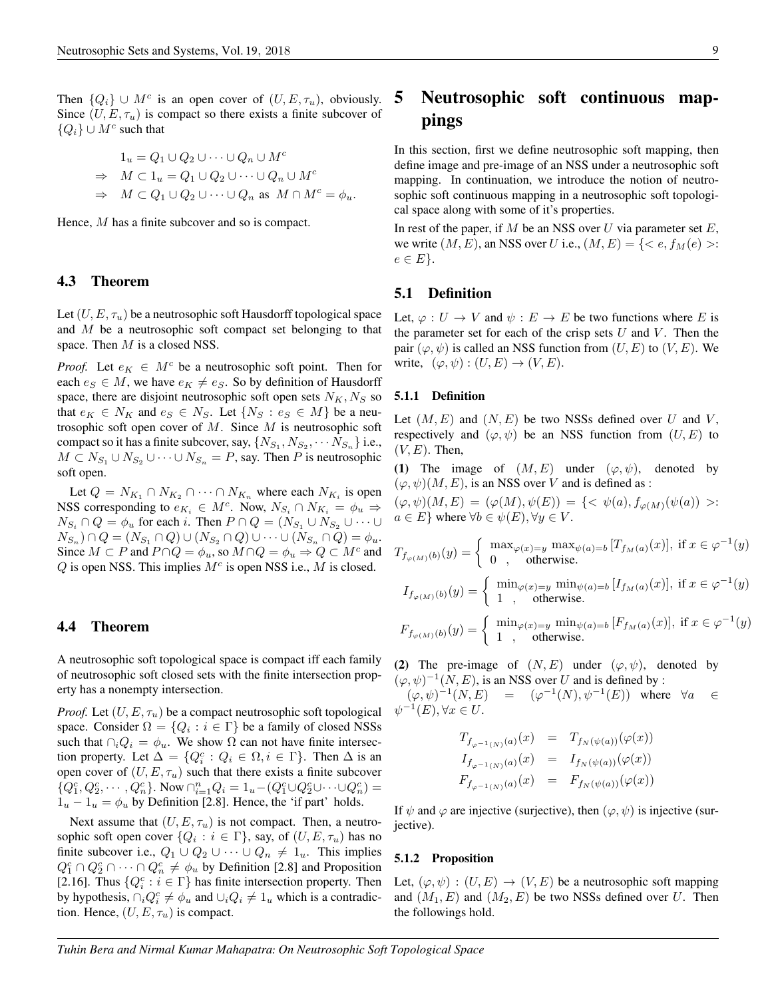Then  $\{Q_i\} \cup M^c$  is an open cover of  $(U, E, \tau_u)$ , obviously. Since  $(U, E, \tau_u)$  is compact so there exists a finite subcover of  ${Q_i}$  ∪  $M^c$  such that

$$
1_u = Q_1 \cup Q_2 \cup \dots \cup Q_n \cup M^c
$$
  
\n
$$
\Rightarrow M \subset 1_u = Q_1 \cup Q_2 \cup \dots \cup Q_n \cup M^c
$$
  
\n
$$
\Rightarrow M \subset Q_1 \cup Q_2 \cup \dots \cup Q_n \text{ as } M \cap M^c = \phi_u.
$$

Hence, M has a finite subcover and so is compact.

#### 4.3 Theorem

Let  $(U, E, \tau_u)$  be a neutrosophic soft Hausdorff topological space and M be a neutrosophic soft compact set belonging to that space. Then  $M$  is a closed NSS.

*Proof.* Let  $e_K \in M^c$  be a neutrosophic soft point. Then for each  $e_S \in M$ , we have  $e_K \neq e_S$ . So by definition of Hausdorff space, there are disjoint neutrosophic soft open sets  $N_K, N_S$  so that  $e_K \in N_K$  and  $e_S \in N_S$ . Let  $\{N_S : e_S \in M\}$  be a neutrosophic soft open cover of  $M$ . Since  $M$  is neutrosophic soft compact so it has a finite subcover, say,  $\{N_{S_1}, N_{S_2}, \cdots N_{S_n}\}$  i.e.,  $M \subset N_{S_1} \cup N_{S_2} \cup \cdots \cup N_{S_n} = P$ , say. Then P is neutrosophic soft open.

Let  $Q = N_{K_1} \cap N_{K_2} \cap \cdots \cap N_{K_n}$  where each  $N_{K_i}$  is open NSS corresponding to  $e_{K_i} \in M^c$ . Now,  $N_{S_i} \cap N_{K_i} = \phi_u \Rightarrow$  $N_{S_i} \cap Q = \phi_u$  for each i. Then  $P \cap Q = (N_{S_1} \cup N_{S_2} \cup \cdots \cup$  $N_{S_n} \cap Q = (N_{S_1} \cap Q) \cup (N_{S_2} \cap Q) \cup \cdots \cup (N_{S_n} \cap Q) = \phi_u.$ Since  $M \subset P$  and  $P \cap Q = \phi_u$ , so  $M \cap Q = \phi_u \Rightarrow Q \subset M^c$  and  $Q$  is open NSS. This implies  $M<sup>c</sup>$  is open NSS i.e.,  $M$  is closed.

#### 4.4 Theorem

A neutrosophic soft topological space is compact iff each family of neutrosophic soft closed sets with the finite intersection property has a nonempty intersection.

*Proof.* Let  $(U, E, \tau_u)$  be a compact neutrosophic soft topological space. Consider  $\Omega = \{Q_i : i \in \Gamma\}$  be a family of closed NSSs such that  $\bigcap_i Q_i = \phi_u$ . We show  $\Omega$  can not have finite intersection property. Let  $\Delta = \{Q_i^c : Q_i \in \Omega, i \in \Gamma\}$ . Then  $\Delta$  is an open cover of  $(U, E, \tau_u)$  such that there exists a finite subcover  $\{Q_1^c, Q_2^c, \cdots, Q_n^c\}$ . Now  $\cap_{i=1}^n Q_i = 1_u - (Q_1^c \cup Q_2^c \cup \cdots \cup Q_n^c) =$  $1_u - 1_u = \phi_u$  by Definition [2.8]. Hence, the 'if part' holds.

Next assume that  $(U, E, \tau_u)$  is not compact. Then, a neutrosophic soft open cover  $\{Q_i : i \in \Gamma\}$ , say, of  $(U, E, \tau_u)$  has no finite subcover i.e.,  $Q_1 \cup Q_2 \cup \cdots \cup Q_n \neq 1_u$ . This implies  $Q_1^c \cap Q_2^c \cap \cdots \cap Q_n^c \neq \phi_u$  by Definition [2.8] and Proposition [2.16]. Thus  $\{Q_i^c : i \in \Gamma\}$  has finite intersection property. Then by hypothesis,  $\bigcap_i Q_i^c \neq \phi_u$  and  $\bigcup_i Q_i \neq 1_u$  which is a contradiction. Hence,  $(U, E, \tau_u)$  is compact.

# 5 Neutrosophic soft continuous mappings

In this section, first we define neutrosophic soft mapping, then define image and pre-image of an NSS under a neutrosophic soft mapping. In continuation, we introduce the notion of neutrosophic soft continuous mapping in a neutrosophic soft topological space along with some of it's properties.

In rest of the paper, if  $M$  be an NSS over  $U$  via parameter set  $E$ , we write  $(M, E)$ , an NSS over U i.e.,  $(M, E) = \{ \langle e, f_M(e) \rangle :$  $e \in E$ .

#### 5.1 Definition

Let,  $\varphi : U \to V$  and  $\psi : E \to E$  be two functions where E is the parameter set for each of the crisp sets  $U$  and  $V$ . Then the pair  $(\varphi, \psi)$  is called an NSS function from  $(U, E)$  to  $(V, E)$ . We write,  $(\varphi, \psi) : (U, E) \to (V, E)$ .

#### 5.1.1 Definition

Let  $(M, E)$  and  $(N, E)$  be two NSSs defined over U and V, respectively and  $(\varphi, \psi)$  be an NSS function from  $(U, E)$  to  $(V, E)$ . Then,

(1) The image of  $(M, E)$  under  $(\varphi, \psi)$ , denoted by  $(\varphi, \psi)(M, E)$ , is an NSS over V and is defined as :

 $(\varphi, \psi)(M, E) = (\varphi(M), \psi(E)) = \{ \langle \psi(a), f_{\varphi(M)}(\psi(a)) \rangle :$  $a \in E$  where  $\forall b \in \psi(E), \forall y \in V$ .

$$
T_{f_{\varphi(M)}(b)}(y) = \begin{cases} \max_{\varphi(x)=y} \max_{\psi(a)=b} [T_{f_M(a)}(x)], \text{ if } x \in \varphi^{-1}(y) \\ 0, \quad \text{otherwise.} \end{cases}
$$

$$
I_{f_{\varphi(M)}(b)}(y) = \begin{cases} \min_{\varphi(x)=y} \min_{\psi(a)=b} [I_{f_M(a)}(x)], \text{ if } x \in \varphi^{-1}(y) \\ 1, \quad \text{otherwise.} \end{cases}
$$

$$
F_{f_{\varphi(M)}(b)}(y) = \begin{cases} \min_{\varphi(x)=y} \min_{\psi(a)=b} [F_{f_M(a)}(x)], \text{ if } x \in \varphi^{-1}(y) \\ 1, \quad \text{otherwise.} \end{cases}
$$

(2) The pre-image of  $(N, E)$  under  $(\varphi, \psi)$ , denoted by  $(\varphi, \psi)^{-1}(N, E)$ , is an NSS over U and is defined by :  $(\varphi, \psi)^{-1}(N, E) = (\varphi^{-1}(N), \psi^{-1}(E))$  where  $\forall a \in$ 

 $\psi^{-1}(E), \forall x \in U.$ 

$$
T_{f_{\varphi^{-1}(N)}(a)}(x) = T_{f_N(\psi(a))}(\varphi(x))
$$
  
\n
$$
I_{f_{\varphi^{-1}(N)}(a)}(x) = I_{f_N(\psi(a))}(\varphi(x))
$$
  
\n
$$
F_{f_{\varphi^{-1}(N)}(a)}(x) = F_{f_N(\psi(a))}(\varphi(x))
$$

If  $\psi$  and  $\varphi$  are injective (surjective), then  $(\varphi, \psi)$  is injective (surjective).

#### 5.1.2 Proposition

Let,  $(\varphi, \psi) : (U, E) \to (V, E)$  be a neutrosophic soft mapping and  $(M_1, E)$  and  $(M_2, E)$  be two NSSs defined over U. Then the followings hold.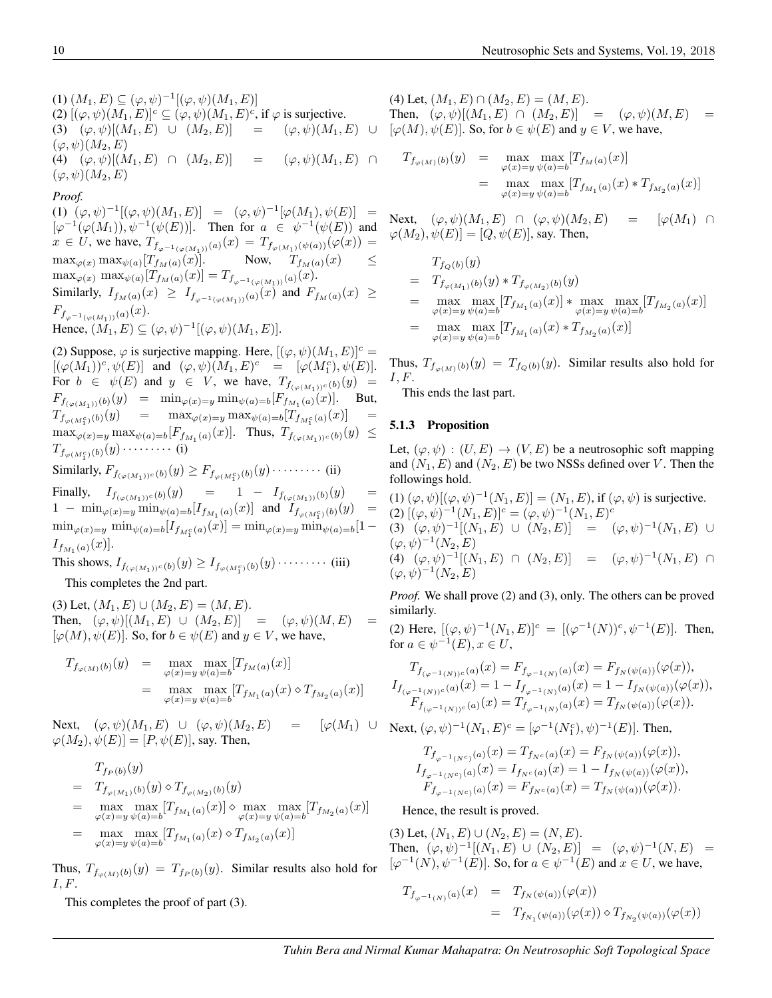(1)  $(M_1, E) \subseteq (\varphi, \psi)^{-1} [(\varphi, \psi)(M_1, E)]$ (2)  $[(\varphi, \psi)(M_1, E)]^c \subseteq (\varphi, \psi)(M_1, E)^c$ , if  $\varphi$  is surjective. (3)  $(\varphi, \psi)[(M_1, E) \cup (M_2, E)] = (\varphi, \psi)(M_1, E) \cup$  $(\varphi, \psi)(M_2, E)$ (4)  $(\varphi, \psi)[(M_1, E) \cap (M_2, E)] = (\varphi, \psi)(M_1, E) \cap$  $(\varphi, \psi)(M_2, E)$ 

*Proof.*

(1)  $(\varphi, \psi)^{-1} [(\varphi, \psi)(M_1, E)] = (\varphi, \psi)^{-1} [\varphi(M_1), \psi(E)] =$  $[\varphi^{-1}(\varphi(M_1)), \psi^{-1}(\psi(E))]$ . Then for  $a \in \psi^{-1}(\psi(E))$  and  $x \in U$ , we have,  $T_{f_{\varphi^{-1}(\varphi(M_1))}(a)}(x) = T_{f_{\varphi(M_1)}(\psi(a))}(\varphi(x)) =$  $\max_{\varphi(x)} \max_{\psi(a)} [T_{f_M(a)}(x)].$  Now,  $T_{f_M(a)}(x)$   $\leq$  $\max_{\varphi(x)} \max_{\psi(a)} [T_{f_M(a)}(x)] = T_{f_{\varphi^{-1}(\varphi(M_1))}(a)}(x).$ Similarly,  $I_{f_M(a)}(x) \geq I_{f_{\varphi^{-1}(\varphi(M_1))}(a)}(x)$  and  $F_{f_M(a)}(x) \geq$  $F_{f_{\varphi^{-1}(\varphi(M_1))}(a)}(x).$ Hence,  $(M_1, E) \subseteq (\varphi, \psi)^{-1}[(\varphi, \psi)(M_1, E)].$ 

(2) Suppose,  $\varphi$  is surjective mapping. Here,  $[(\varphi, \psi)(M_1, E)]^c =$  $[(\varphi(M_1))^c, \psi(E)]$  and  $(\varphi, \psi)(M_1, E)^c$  =  $[\varphi(M_1^c), \psi(E)]$ . For  $b \in \psi(E)$  and  $y \in V$ , we have,  $T_{f(\varphi(M_1))^c(b)}(y) =$  $F_{f_{(\varphi(M_1))}(b)}(y) = \min_{\varphi(x)=y} \min_{\psi(a)=b} [F_{f_{M_1}(a)}(x)].$  But,  $T_{f_{\varphi(M_1^c)}(b)}(y) = \max_{\varphi(x)=y} \max_{\psi(a)=b} [T_{f_{M_1^c}(a)}(x)] =$  $\max_{\varphi(x)=y} \max_{\psi(a)=b} [F_{f_{M_1}(a)}(x)].$  Thus,  $T_{f_{(\varphi(M_1))^c}(b)}(y) \leq$  $T_{f_{\varphi(M_1^c)}(b)}(y)\cdot\dots\cdot\dots\cdot(j)$ 

Similarly,  $F_{f_{(\varphi(M_1))}c(b)}(y) \geq F_{f_{\varphi(M_1^c)}(b)}(y) \cdot \cdots \cdot \cdots$  (ii)

Finally,  $I_{f_{(\varphi(M_1))}c(b)}(y) = 1 - I_{f_{(\varphi(M_1))}(b)}(y)$  $1 - \min_{\varphi(x) = y} \min_{\psi(a) = b} [I_{f_{M_1}(a)}(x)]$  and  $I_{f_{\varphi(M_1^c)}(b)}(y) =$  $\min_{\varphi(x)=y} \min_{\psi(a)=b} [I_{f_{M_1^c}(a)}(x)] = \min_{\varphi(x)=y} \min_{\psi(a)=b} [1 I_{f_{M_1}(a)}(x)].$ 

This shows,  $I_{f_{(\varphi(M_1))^c}(b)}(y) \geq I_{f_{\varphi(M_1^c)}(b)}(y) \cdot \cdots \cdot \cdots$  (iii) This completes the 2nd part.

(3) Let,  $(M_1, E) \cup (M_2, E) = (M, E)$ . Then,  $(\varphi, \psi)[(M_1, E) \cup (M_2, E)] = (\varphi, \psi)(M, E)$  $[\varphi(M), \psi(E)]$ . So, for  $b \in \psi(E)$  and  $y \in V$ , we have,

$$
T_{f_{\varphi(M)}(b)}(y) = \max_{\varphi(x)=y} \max_{\psi(a)=b} [T_{f_M(a)}(x)]
$$
  
= 
$$
\max_{\varphi(x)=y} \max_{\psi(a)=b} [T_{f_{M_1}(a)}(x) \diamond T_{f_{M_2}(a)}(x)]
$$

Next,  $(\varphi, \psi)(M_1, E) \cup (\varphi, \psi)(M_2, E) = [\varphi(M_1) \cup \mathbf{N}]$  $\varphi(M_2), \psi(E)$  = [P,  $\psi(E)$ ], say. Then,

$$
T_{f_P(b)}(y)
$$
  
=  $T_{f_{\varphi(M_1)}(b)}(y) \diamond T_{f_{\varphi(M_2)}(b)}(y)$   
=  $\max_{\varphi(x)=y} \max_{\psi(a)=b} [T_{f_{M_1}(a)}(x)] \diamond \max_{\varphi(x)=y} \max_{\psi(a)=b} [T_{f_{M_2}(a)}(x)]$   
=  $\max_{\varphi(x)=y} \max_{\psi(a)=b} [T_{f_{M_1}(a)}(x) \diamond T_{f_{M_2}(a)}(x)]$ 

Thus,  $T_{f_{\varphi(M)}(b)}(y) = T_{f_P(b)}(y)$ . Similar results also hold for  $I, F$ .

This completes the proof of part (3).

(4) Let,  $(M_1, E) \cap (M_2, E) = (M, E)$ . Then,  $(\varphi, \psi) [(M_1, E) \cap (M_2, E)] = (\varphi, \psi) (M, E) =$  $[\varphi(M), \psi(E)]$ . So, for  $b \in \psi(E)$  and  $y \in V$ , we have,

$$
T_{f_{\varphi(M)}(b)}(y) = \max_{\varphi(x)=y} \max_{\psi(a)=b} [T_{f_M(a)}(x)]
$$
  
= 
$$
\max_{\varphi(x)=y} \max_{\psi(a)=b} [T_{f_{M_1}(a)}(x) * T_{f_{M_2}(a)}(x)]
$$

Next,  $(\varphi, \psi)(M_1, E) \cap (\varphi, \psi)(M_2, E) = [\varphi(M_1) \cap$  $\varphi(M_2), \psi(E)$  = [Q,  $\psi(E)$ ], say. Then,

$$
T_{f_Q(b)}(y)
$$
  
=  $T_{f_{\varphi(M_1)}(b)}(y) * T_{f_{\varphi(M_2)}(b)}(y)$   
=  $\max_{\varphi(x)=y} \max_{\psi(a)=b} [T_{f_{M_1}(a)}(x)] * \max_{\varphi(x)=y} \max_{\psi(a)=b} [T_{f_{M_2}(a)}(x)]$   
=  $\max_{\varphi(x)=y} \max_{\psi(a)=b} [T_{f_{M_1}(a)}(x) * T_{f_{M_2}(a)}(x)]$ 

Thus,  $T_{f_{\varphi(M)}(b)}(y) = T_{f_Q(b)}(y)$ . Similar results also hold for  $I, F$ .

This ends the last part.

#### 5.1.3 Proposition

Let,  $(\varphi, \psi) : (U, E) \to (V, E)$  be a neutrosophic soft mapping and  $(N_1, E)$  and  $(N_2, E)$  be two NSSs defined over V. Then the followings hold.

(1)  $(\varphi, \psi)[(\varphi, \psi)^{-1}(N_1, E)] = (N_1, E)$ , if  $(\varphi, \psi)$  is surjective. (2)  $[(\varphi, \psi)^{-1}(N_1, E)]^c = (\varphi, \psi)^{-1}(N_1, E)^c$ 

(3)  $(\varphi, \psi)^{-1}[(N_1, E) \cup (N_2, E)] = (\varphi, \psi)^{-1}(N_1, E) \cup$  $(\varphi, \psi)^{-1}(N_2, E)$ 

(4)  $(\varphi, \psi)^{-1}[(N_1, E) \cap (N_2, E)] = (\varphi, \psi)^{-1}(N_1, E) \cap$  $(\varphi, \psi)^{-1}(N_2, E)$ 

*Proof.* We shall prove (2) and (3), only. The others can be proved similarly.

(2) Here,  $[(\varphi, \psi)^{-1}(N_1, E)]^c = [(\varphi^{-1}(N))^c, \psi^{-1}(E)]$ . Then, for  $a \in \psi^{-1}(E)$ ,  $x \in U$ ,

$$
T_{f_{(\varphi^{-1}(N))^c}(a)}(x) = F_{f_{\varphi^{-1}(N)}(a)}(x) = F_{f_N(\psi(a))}(\varphi(x)),
$$
  
\n
$$
I_{f_{(\varphi^{-1}(N))^c}(a)}(x) = 1 - I_{f_{\varphi^{-1}(N)}(a)}(x) = 1 - I_{f_N(\psi(a))}(\varphi(x)),
$$
  
\n
$$
F_{f_{(\varphi^{-1}(N))^c}(a)}(x) = T_{f_{\varphi^{-1}(N)}(a)}(x) = T_{f_N(\psi(a))}(\varphi(x)).
$$

Next, 
$$
(\varphi, \psi)^{-1}(N_1, E)^c = [\varphi^{-1}(N_1^c), \psi)^{-1}(E)]
$$
. Then,  
\n
$$
T_{f_{\varphi^{-1}(N^c)}(a)}(x) = T_{f_{N^c}(a)}(x) = F_{f_{N}(\psi(a))}(\varphi(x)),
$$
\n
$$
I_{f_{\varphi^{-1}(N^c)}(a)}(x) = I_{f_{N^c}(a)}(x) = 1 - I_{f_{N}(\psi(a))}(\varphi(x)),
$$
\n
$$
F_{f_{\varphi^{-1}(N^c)}(a)}(x) = F_{f_{N^c}(a)}(x) = T_{f_{N}(\psi(a))}(\varphi(x)).
$$

Hence, the result is proved.

(3) Let,  $(N_1, E) \cup (N_2, E) = (N, E)$ . Then,  $(\varphi, \psi)^{-1}[(N_1, E) \cup (N_2, E)] = (\varphi, \psi)^{-1}(N, E) =$  $[\varphi^{-1}(N), \psi^{-1}(E)]$ . So, for  $a \in \psi^{-1}(E)$  and  $x \in U$ , we have,

$$
T_{f_{\varphi^{-1}(N)}(a)}(x) = T_{f_N(\psi(a))}(\varphi(x))
$$
  
=  $T_{f_{N_1}(\psi(a))}(\varphi(x)) \diamond T_{f_{N_2}(\psi(a))}(\varphi(x))$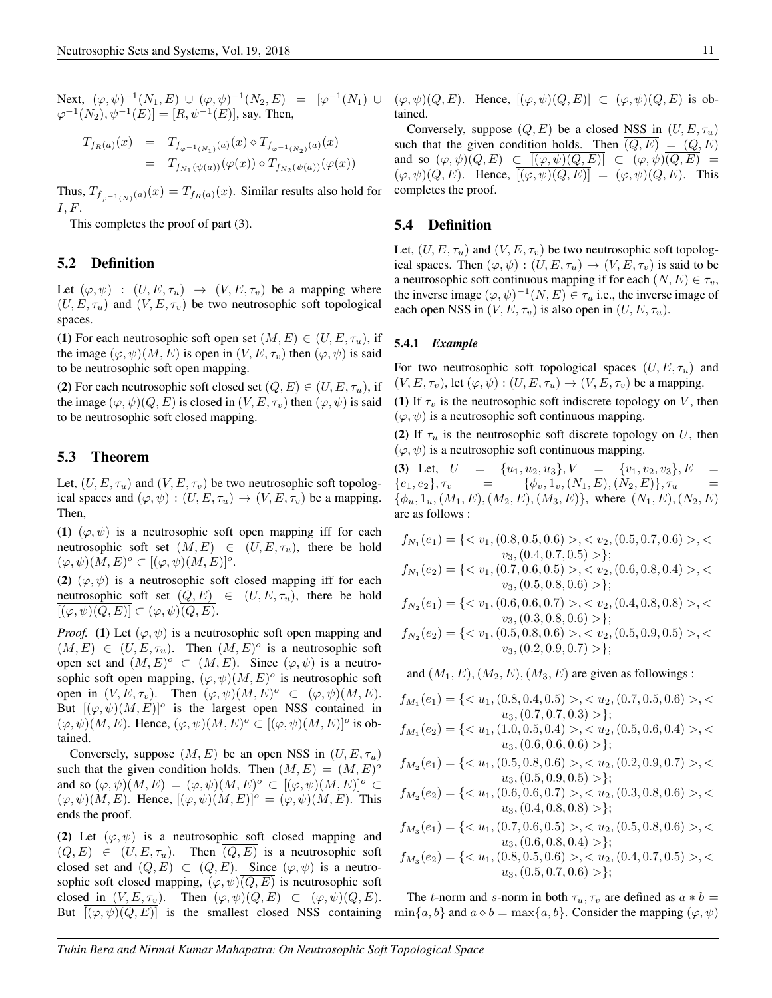$\varphi^{-1}(N_2), \psi^{-1}(E)]=[R, \psi^{-1}(E)],$  say. Then,

$$
T_{f_R(a)}(x) = T_{f_{\varphi^{-1}(N_1)}(a)}(x) \diamond T_{f_{\varphi^{-1}(N_2)}(a)}(x)
$$
  
=  $T_{f_{N_1}(\psi(a))}(\varphi(x)) \diamond T_{f_{N_2}(\psi(a))}(\varphi(x))$ 

Thus,  $T_{f_{\varphi^{-1}(N)}(a)}(x) = T_{f_R(a)}(x)$ . Similar results also hold for  $I, F.$ 

This completes the proof of part (3).

#### 5.2 Definition

Let  $(\varphi, \psi) : (U, E, \tau_u) \to (V, E, \tau_v)$  be a mapping where  $(U, E, \tau_u)$  and  $(V, E, \tau_v)$  be two neutrosophic soft topological spaces.

(1) For each neutrosophic soft open set  $(M, E) \in (U, E, \tau_u)$ , if the image  $(\varphi, \psi)(M, E)$  is open in  $(V, E, \tau_v)$  then  $(\varphi, \psi)$  is said to be neutrosophic soft open mapping.

(2) For each neutrosophic soft closed set  $(Q, E) \in (U, E, \tau_u)$ , if the image  $(\varphi, \psi)(Q, E)$  is closed in  $(V, E, \tau_v)$  then  $(\varphi, \psi)$  is said to be neutrosophic soft closed mapping.

#### 5.3 Theorem

Let,  $(U, E, \tau_u)$  and  $(V, E, \tau_v)$  be two neutrosophic soft topological spaces and  $(\varphi, \psi) : (U, E, \tau_u) \to (V, E, \tau_v)$  be a mapping. Then,

(1)  $(\varphi, \psi)$  is a neutrosophic soft open mapping iff for each neutrosophic soft set  $(M, E) \in (U, E, \tau_u)$ , there be hold  $(\varphi, \psi)(M, E)^o \subset [(\varphi, \psi)(M, E)]^o.$ 

(2)  $(\varphi, \psi)$  is a neutrosophic soft closed mapping iff for each neutrosophic soft set  $(Q, E) \in (U, E, \tau_u)$ , there be hold  $[(\varphi, \psi)(Q, E)] \subset (\varphi, \psi)(Q, E).$ 

*Proof.* (1) Let  $(\varphi, \psi)$  is a neutrosophic soft open mapping and  $(M, E) \in (U, E, \tau_u)$ . Then  $(M, E)^o$  is a neutrosophic soft open set and  $(M, E)^{\circ} \subset (M, E)$ . Since  $(\varphi, \psi)$  is a neutrosophic soft open mapping,  $(\varphi, \psi)(M, E)^{\circ}$  is neutrosophic soft open in  $(V, E, \tau_v)$ . Then  $(\varphi, \psi)(M, E)^{\circ} \subset (\varphi, \psi)(M, E)$ . But  $[(\varphi, \psi)(M, E)]^{\circ}$  is the largest open NSS contained in  $(\varphi, \psi)(M, E)$ . Hence,  $(\varphi, \psi)(M, E)^{\circ} \subset [(\varphi, \psi)(M, E)]^{\circ}$  is obtained.

Conversely, suppose  $(M, E)$  be an open NSS in  $(U, E, \tau_u)$ such that the given condition holds. Then  $(M, E) = (M, E)^{\circ}$ and so  $(\varphi, \psi)(M, E) = (\varphi, \psi)(M, E)^{\circ} \subset [(\varphi, \psi)(M, E)]^{\circ} \subset$  $(\varphi, \psi)(M, E)$ . Hence,  $[(\varphi, \psi)(M, E)]^{\circ} = (\varphi, \psi)(M, E)$ . This ends the proof.

(2) Let  $(\varphi, \psi)$  is a neutrosophic soft closed mapping and  $(Q, E) \in (U, E, \tau_u)$ . Then  $(Q, E)$  is a neutrosophic soft closed set and  $(Q, E) \subset (Q, E)$ . Since  $(\varphi, \psi)$  is a neutrosophic soft closed mapping,  $(\varphi, \psi)(Q, E)$  is neutrosophic soft closed in  $(V, E, \tau_v)$ . Then  $(\varphi, \psi)(Q, E) \subset (\varphi, \psi)(Q, E)$ . But  $[(\varphi, \psi)(Q, E)]$  is the smallest closed NSS containing

Next,  $(\varphi, \psi)^{-1}(N_1, E) \cup (\varphi, \psi)^{-1}(N_2, E) = [\varphi^{-1}(N_1) \cup (\varphi, \psi)(Q, E)$ . Hence,  $\overline{[(\varphi, \psi)(Q, E)]} \subset (\varphi, \psi)\overline{(Q, E)}$  is obtained.

> Conversely, suppose  $(Q, E)$  be a closed NSS in  $(U, E, \tau_u)$ such that the given condition holds. Then  $\overline{(Q, E)} = (Q, E)$ and so  $(\varphi, \psi)(Q, E) \subset [(\varphi, \psi)(Q, E)] \subset (\varphi, \psi)(Q, E) =$  $(\varphi, \psi)(Q, E)$ . Hence,  $\overline{[(\varphi, \psi)(Q, E)]} = (\varphi, \psi)(Q, E)$ . This completes the proof.

#### 5.4 Definition

Let,  $(U, E, \tau_u)$  and  $(V, E, \tau_v)$  be two neutrosophic soft topological spaces. Then  $(\varphi, \psi) : (U, E, \tau_u) \to (V, E, \tau_v)$  is said to be a neutrosophic soft continuous mapping if for each  $(N, E) \in \tau_v$ , the inverse image  $(\varphi, \psi)^{-1}(N, E) \in \tau_u$  i.e., the inverse image of each open NSS in  $(V, E, \tau_v)$  is also open in  $(U, E, \tau_u)$ .

#### 5.4.1 *Example*

For two neutrosophic soft topological spaces  $(U, E, \tau_u)$  and  $(V, E, \tau_v)$ , let  $(\varphi, \psi) : (U, E, \tau_u) \to (V, E, \tau_v)$  be a mapping.

(1) If  $\tau_v$  is the neutrosophic soft indiscrete topology on V, then  $(\varphi, \psi)$  is a neutrosophic soft continuous mapping.

(2) If  $\tau_u$  is the neutrosophic soft discrete topology on U, then  $(\varphi, \psi)$  is a neutrosophic soft continuous mapping.

(3) Let,  $U = \{u_1, u_2, u_3\}, V = \{v_1, v_2, v_3\}, E =$  ${e_1, e_2}, \tau_v = {\phi_v, 1_v, (N_1, E), (N_2, E)}, \tau_u =$  $\{\phi_u, 1_u, (M_1, E), (M_2, E), (M_3, E)\}\$ , where  $(N_1, E), (N_2, E)$ are as follows :

$$
f_{N_1}(e_1) = \{ \langle v_1, (0.8, 0.5, 0.6) \rangle, \langle v_2, (0.5, 0.7, 0.6) \rangle, \langle v_3, (0.4, 0.7, 0.5) \rangle \};
$$

$$
f_{N_1}(e_2) = \{ \langle v_1, (0.7, 0.6, 0.5) \rangle, \langle v_2, (0.6, 0.8, 0.4) \rangle, \langle v_3, (0.5, 0.8, 0.6) \rangle \}
$$

$$
f_{N_2}(e_1) = \{ \langle v_1, (0.6, 0.6, 0.7) \rangle, \langle v_2, (0.4, 0.8, 0.8) \rangle, \langle v_3, (0.3, 0.8, 0.6) \rangle \}
$$

$$
f_{N_2}(e_2) = \{< v_1, (0.5, 0.8, 0.6) > , < v_2, (0.5, 0.9, 0.5) > , < \\ & v_3, (0.2, 0.9, 0.7) > \};
$$

and  $(M_1, E), (M_2, E), (M_3, E)$  are given as followings :

$$
f_{M_1}(e_1) = \{ \langle u_1, (0.8, 0.4, 0.5) \rangle, \langle u_2, (0.7, 0.5, 0.6) \rangle, \langle u_3, (0.7, 0.7, 0.3) \rangle \};
$$

$$
f_{M_1}(e_2) = \{ \langle u_1, (1.0, 0.5, 0.4) \rangle, \langle u_2, (0.5, 0.6, 0.4) \rangle, \langle u_3, (0.6, 0.6, 0.6) \rangle \};
$$

$$
f_{M_2}(e_1) = \{ \langle u_1, (0.5, 0.8, 0.6) \rangle, \langle u_2, (0.2, 0.9, 0.7) \rangle, \langle u_3, (0.5, 0.9, 0.5) \rangle \};
$$

$$
f_{M_2}(e_2) = \{< u_1, (0.6, 0.6, 0.7) > , < u_2, (0.3, 0.8, 0.6) > , < u_3, (0.4, 0.8, 0.8) > \};
$$

$$
f_{M_3}(e_1) = \{ \langle u_1, (0.7, 0.6, 0.5) \rangle, \langle u_2, (0.5, 0.8, 0.6) \rangle, \langle u_3, (0.6, 0.8, 0.4) \rangle \};
$$

$$
f_{M_3}(e_2) = \{< u_1, (0.8, 0.5, 0.6) > , < u_2, (0.4, 0.7, 0.5) > , < u_3, (0.5, 0.7, 0.6) > \};
$$

The t-norm and s-norm in both  $\tau_u, \tau_v$  are defined as  $a * b =$  $\min\{a, b\}$  and  $a \diamond b = \max\{a, b\}$ . Consider the mapping  $(\varphi, \psi)$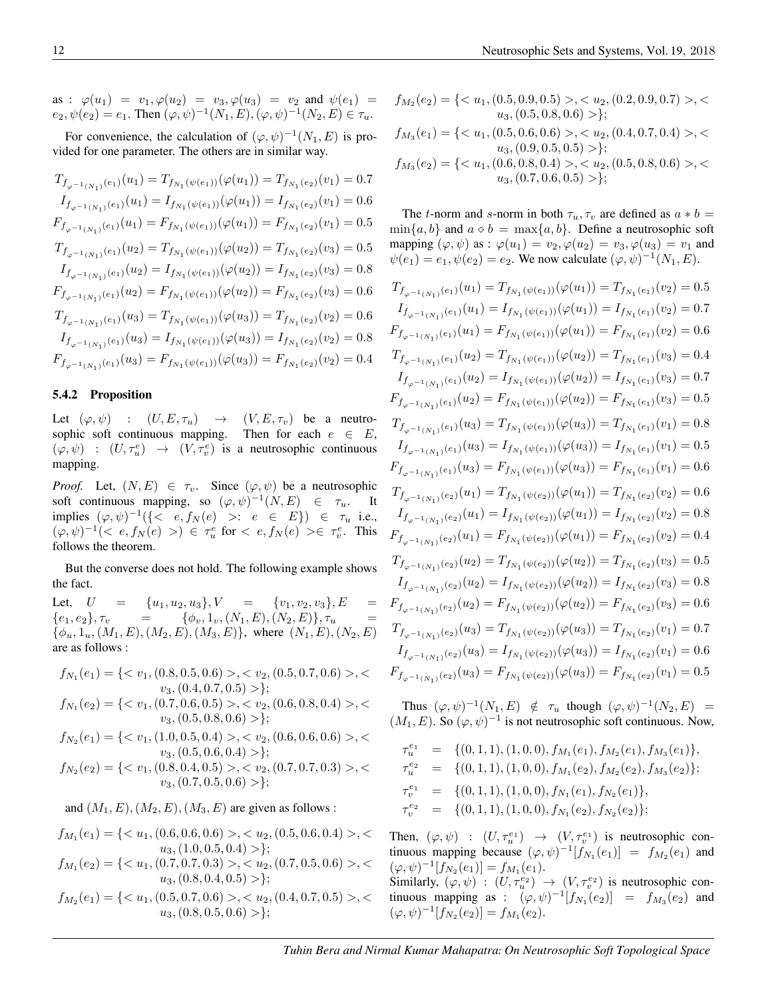as :  $\varphi(u_1) = v_1, \varphi(u_2) = v_3, \varphi(u_3) = v_2$  and  $\psi(e_1) =$  $e_2, \psi(e_2) = e_1$ . Then  $(\varphi, \psi)^{-1}(N_1, E), (\varphi, \psi)^{-1}(N_2, E) \in \tau_u$ .

For convenience, the calculation of  $(\varphi, \psi)^{-1}(N_1, E)$  is provided for one parameter. The others are in similar way.

$$
T_{f_{\varphi^{-1}(N_1)}(e_1)}(u_1) = T_{f_{N_1}(\psi(e_1))}(\varphi(u_1)) = T_{f_{N_1}(e_2)}(v_1) = 0.7
$$
  
\n
$$
I_{f_{\varphi^{-1}(N_1)}(e_1)}(u_1) = I_{f_{N_1}(\psi(e_1))}(\varphi(u_1)) = I_{f_{N_1}(e_2)}(v_1) = 0.6
$$
  
\n
$$
F_{f_{\varphi^{-1}(N_1)}(e_1)}(u_1) = F_{f_{N_1}(\psi(e_1))}(\varphi(u_1)) = F_{f_{N_1}(e_2)}(v_1) = 0.5
$$
  
\n
$$
T_{f_{\varphi^{-1}(N_1)}(e_1)}(u_2) = T_{f_{N_1}(\psi(e_1))}(\varphi(u_2)) = T_{f_{N_1}(e_2)}(v_3) = 0.5
$$
  
\n
$$
I_{f_{\varphi^{-1}(N_1)}(e_1)}(u_2) = I_{f_{N_1}(\psi(e_1))}(\varphi(u_2)) = I_{f_{N_1}(e_2)}(v_3) = 0.8
$$
  
\n
$$
F_{f_{\varphi^{-1}(N_1)}(e_1)}(u_2) = F_{f_{N_1}(\psi(e_1))}(\varphi(u_2)) = F_{f_{N_1}(e_2)}(v_3) = 0.6
$$
  
\n
$$
T_{f_{\varphi^{-1}(N_1)}(e_1)}(u_3) = T_{f_{N_1}(\psi(e_1))}(\varphi(u_3)) = T_{f_{N_1}(e_2)}(v_2) = 0.8
$$
  
\n
$$
I_{f_{\varphi^{-1}(N_1)}(e_1)}(u_3) = I_{f_{N_1}(\psi(e_1))}(\varphi(u_3)) = I_{f_{N_1}(e_2)}(v_2) = 0.8
$$
  
\n
$$
F_{f_{\varphi^{-1}(N_1)}(e_1)}(u_3) = F_{f_{N_1}(\psi(e_1))}(\varphi(u_3)) = F_{f_{N_1}(e_2)}(v_2) = 0.4
$$

#### 5.4.2 Proposition

Let  $(\varphi, \psi)$  :  $(U, E, \tau_u) \rightarrow (V, E, \tau_v)$  be a neutrosophic soft continuous mapping. Then for each  $e \in E$ ,  $(\varphi, \psi) : (U, \tau_u^e) \rightarrow (V, \tau_v^e)$  is a neutrosophic continuous mapping.

*Proof.* Let,  $(N, E) \in \tau_v$ . Since  $(\varphi, \psi)$  be a neutrosophic soft continuous mapping, so  $(\varphi, \psi)^{-1}(N, E) \in \tau_u$ . It implies  $(\varphi, \psi)^{-1}(\{\langle e, f_N(e) \rangle : e \in E\}) \in \tau_u$  i.e.,  $(\varphi, \psi)^{-1}(< e, f_N(e)>) \in \tau_u^e$  for  $\langle e, f_N(e) \rangle \in \tau_v^e$ . This follows the theorem.

But the converse does not hold. The following example shows the fact.

Let,  $U = \{u_1, u_2, u_3\}, V = \{v_1, v_2, v_3\}, E =$  $\{e_1, e_2\}, \tau_v = \{\phi_v, 1_v, (N_1, E), (N_2, E)\}, \tau_u =$  $\{\phi_u, 1_u, (M_1, E), (M_2, E), (M_3, E)\}\$ , where  $(N_1, E), (N_2, E)$ are as follows :

 $f_{N_1}(e_1) = \{ \langle v_1, (0.8, 0.5, 0.6) \rangle, \langle v_2, (0.5, 0.7, 0.6) \rangle, \langle v_1, (0.8, 0.7, 0.6) \rangle, \langle v_2, (0.5, 0.7, 0.6) \rangle, \langle v_3, (0.5, 0.7, 0.6) \rangle, \langle v_4, (0.5, 0.7, 0.6) \rangle, \langle v_5, (0.5, 0.7, 0.6) \rangle, \langle v_6, (0.5, 0.7, 0.6) \rangle, \langle v_7, (0.5, 0.7$  $v_3,(0.4, 0.7, 0.5) >$  $f_{N_1}(e_2) = \{ \langle v_1, (0.7, 0.6, 0.5) \rangle, \langle v_2, (0.6, 0.8, 0.4) \rangle, \langle v_1, (0.7, 0.6, 0.5) \rangle, \langle v_2, (0.6, 0.8, 0.4) \rangle, \langle v_3, (0.7, 0.6, 0.5) \rangle, \langle v_4, (0.7, 0.6, 0.5) \rangle, \langle v_5, (0.7, 0.6, 0.5) \rangle, \langle v_6, (0.7, 0.6, 0.5) \rangle, \langle v_7, (0.7, 0.6$  $v_3$ ,  $(0.5, 0.8, 0.6) >$ ;  $f_{N_2}(e_1) = \{ \langle v_1, (1.0, 0.5, 0.4) \rangle, \langle v_2, (0.6, 0.6, 0.6) \rangle, \langle v_1, (1.0, 0.5, 0.4) \rangle, \langle v_2, (0.6, 0.6, 0.6) \rangle, \langle v_3, (0.6, 0.6, 0.6) \rangle, \langle v_4, (0.6, 0.6, 0.6) \rangle, \langle v_5, (0.6, 0.6, 0.6) \rangle, \langle v_6, (0.6, 0.6, 0.6) \rangle, \langle v_7, (0.6, 0.6$  $v_3$ ,  $(0.5, 0.6, 0.4) >$ ;  $f_{N_2}(e_2) = \{ \langle v_1, (0.8, 0.4, 0.5) \rangle, \langle v_2, (0.7, 0.7, 0.3) \rangle, \langle v_1, (0.8, 0.4, 0.5) \rangle, \langle v_2, (0.7, 0.7, 0.3) \rangle, \langle v_3, (0.7, 0.7, 0.3) \rangle, \langle v_4, (0.8, 0.4, 0.5) \rangle, \langle v_5, (0.7, 0.7, 0.3) \rangle, \langle v_6, (0.7, 0.7, 0.3) \rangle, \langle v_7, (0.7, 0.7$  $v_3$ ,  $(0.7, 0.5, 0.6) >$ ;

and  $(M_1, E), (M_2, E), (M_3, E)$  are given as follows :

$$
f_{M_1}(e_1) = \{< u_1, (0.6, 0.6, 0.6) > , < u_2, (0.5, 0.6, 0.4) > , < u_3, (1.0, 0.5, 0.4) > \};
$$

$$
f_{M_1}(e_2) = \{< u_1, (0.7, 0.7, 0.3) > , < u_2, (0.7, 0.5, 0.6) > , < u_3, (0.8, 0.4, 0.5) > \};
$$

$$
f_{M_2}(e_1) = \{ \langle u_1, (0.5, 0.7, 0.6) \rangle, \langle u_2, (0.4, 0.7, 0.5) \rangle, \langle u_3, (0.8, 0.5, 0.6) \rangle \};
$$

$$
f_{M_2}(e_2) = \{< u_1, (0.5, 0.9, 0.5) > , < u_2, (0.2, 0.9, 0.7) > , < u_3, (0.5, 0.8, 0.6) > \};
$$
\n
$$
f_{M_3}(e_1) = \{< u_1, (0.5, 0.6, 0.6) > , < u_2, (0.4, 0.7, 0.4) > , < u_3, (0.9, 0.5, 0.5) > \};
$$
\n
$$
f_{M_3}(e_2) = \{< u_1, (0.6, 0.8, 0.4) > , < u_2, (0.5, 0.8, 0.6) > , < u_3, (0.7, 0.6, 0.5) > \};
$$

The t-norm and s-norm in both  $\tau_u$ ,  $\tau_v$  are defined as  $a * b =$  $\min\{a, b\}$  and  $a \diamond b = \max\{a, b\}$ . Define a neutrosophic soft mapping  $(\varphi, \psi)$  as :  $\varphi(u_1) = v_2, \varphi(u_2) = v_3, \varphi(u_3) = v_1$  and  $\psi(e_1) = e_1, \psi(e_2) = e_2$ . We now calculate  $(\varphi, \psi)^{-1}(N_1, E)$ .

$$
T_{f_{\varphi^{-1}(N_1)}(e_1)}(u_1) = T_{f_{N_1}(\psi(e_1))}(\varphi(u_1)) = T_{f_{N_1}(e_1)}(v_2) = 0.5
$$
  
\n
$$
I_{f_{\varphi^{-1}(N_1)}(e_1)}(u_1) = I_{f_{N_1}(\psi(e_1))}(\varphi(u_1)) = I_{f_{N_1}(e_1)}(v_2) = 0.7
$$
  
\n
$$
F_{f_{\varphi^{-1}(N_1)}(e_1)}(u_1) = F_{f_{N_1}(\psi(e_1))}(\varphi(u_1)) = F_{f_{N_1}(e_1)}(v_2) = 0.6
$$
  
\n
$$
T_{f_{\varphi^{-1}(N_1)}(e_1)}(u_2) = T_{f_{N_1}(\psi(e_1))}(\varphi(u_2)) = T_{f_{N_1}(e_1)}(v_3) = 0.4
$$
  
\n
$$
I_{f_{\varphi^{-1}(N_1)}(e_1)}(u_2) = I_{f_{N_1}(\psi(e_1))}(\varphi(u_2)) = I_{f_{N_1}(e_1)}(v_3) = 0.7
$$
  
\n
$$
F_{f_{\varphi^{-1}(N_1)}(e_1)}(u_2) = F_{f_{N_1}(\psi(e_1))}(\varphi(u_2)) = F_{f_{N_1}(e_1)}(v_3) = 0.5
$$
  
\n
$$
T_{f_{\varphi^{-1}(N_1)}(e_1)}(u_3) = T_{f_{N_1}(\psi(e_1))}(\varphi(u_3)) = T_{f_{N_1}(e_1)}(v_1) = 0.8
$$
  
\n
$$
I_{f_{\varphi^{-1}(N_1)}(e_1)}(u_3) = I_{f_{N_1}(\psi(e_1))}(\varphi(u_3)) = I_{f_{N_1}(e_1)}(v_1) = 0.6
$$
  
\n
$$
T_{f_{\varphi^{-1}(N_1)}(e_2)}(u_1) = T_{f_{N_1}(\psi(e_2))}(\varphi(u_1)) = T_{f_{N_1}(e_2)}(v_2) = 0.6
$$
  
\n
$$
I_{f_{\varphi^{-1}(N_1)}(e_2)}(u
$$

Thus  $(\varphi, \psi)^{-1}(N_1, E) \notin \tau_u$  though  $(\varphi, \psi)^{-1}(N_2, E) =$  $(M_1, E)$ . So  $(\varphi, \psi)^{-1}$  is not neutrosophic soft continuous. Now,

$$
\begin{array}{lcl} \tau_u^{e_1} & = & \{ (0,1,1), (1,0,0), f_{M_1}(e_1), f_{M_2}(e_1), f_{M_3}(e_1) \}, \\ \tau_u^{e_2} & = & \{ (0,1,1), (1,0,0), f_{M_1}(e_2), f_{M_2}(e_2), f_{M_3}(e_2) \}; \\ \tau_v^{e_1} & = & \{ (0,1,1), (1,0,0), f_{N_1}(e_1), f_{N_2}(e_1) \}, \\ \tau_v^{e_2} & = & \{ (0,1,1), (1,0,0), f_{N_1}(e_2), f_{N_2}(e_2) \}; \end{array}
$$

Then,  $(\varphi, \psi) : (U, \tau_u^{e_1}) \to (V, \tau_v^{e_1})$  is neutrosophic continuous mapping because  $(\varphi, \psi)^{-1}[f_{N_1}(e_1)] = f_{M_2}(e_1)$  and  $(\varphi, \psi)^{-1}[f_{N_2}(e_1)] = f_{M_1}(e_1).$ Similarly,  $(\varphi, \psi) : (U, \tau_u^{e_2}) \to (V, \tau_v^{e_2})$  is neutrosophic continuous mapping as :  $(\varphi, \psi)^{-1}[f_{N_1}(e_2)] = f_{M_3}(e_2)$  and  $(\varphi, \psi)^{-1}[f_{N_2}(e_2)] = f_{M_1}(e_2).$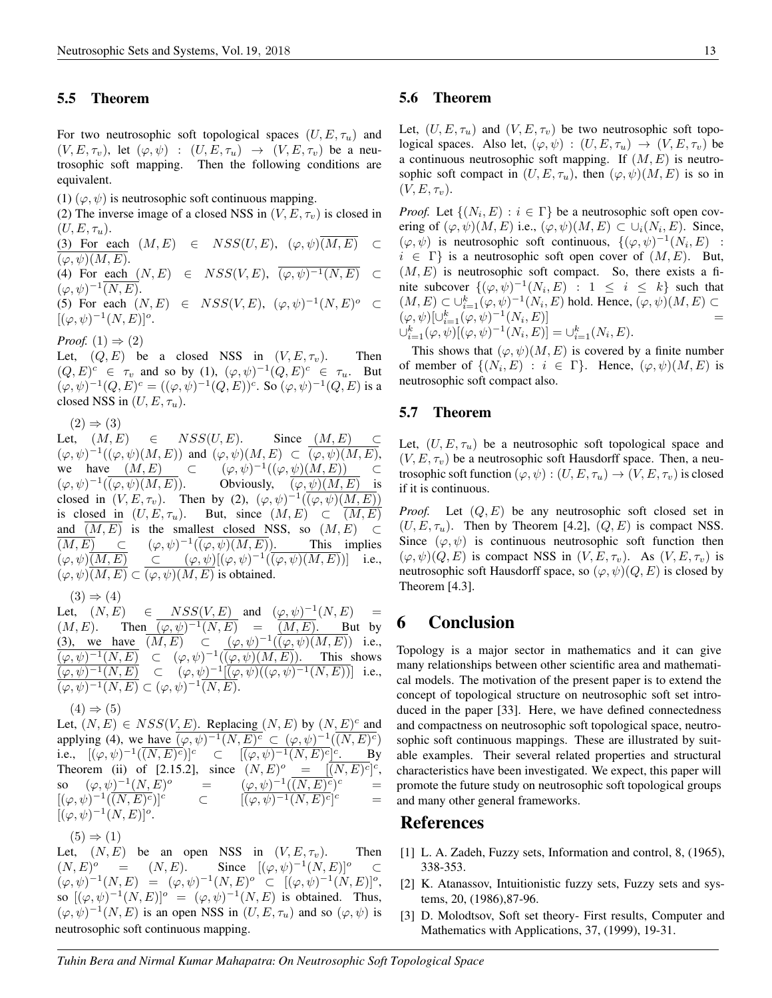#### 5.5 Theorem

For two neutrosophic soft topological spaces  $(U, E, \tau_u)$  and  $(V, E, \tau_v)$ , let  $(\varphi, \psi)$  :  $(U, E, \tau_u) \rightarrow (V, E, \tau_v)$  be a neutrosophic soft mapping. Then the following conditions are equivalent.

(1)  $(\varphi, \psi)$  is neutrosophic soft continuous mapping.

(2) The inverse image of a closed NSS in  $(V, E, \tau_v)$  is closed in  $(U, E, \tau_u)$ .

(3) For each  $(M, E) \in NSS(U, E), (\varphi, \psi) \overline{(M, E)} \subset$  $(\varphi, \psi)(M, E).$ (4) For each  $(N, E) \in NSS(V, E), \overline{(\varphi, \psi)^{-1}(N, E)} \subset$ 

 $(\varphi, \psi)^{-1} \overline{(N, E)}.$ 

(5) For each  $(N, E) \in NSS(V, E), (\varphi, \psi)^{-1}(N, E)^{\circ} \subset$  $[(\varphi, \psi)^{-1}(N, E)]^o.$ 

*Proof.*  $(1) \Rightarrow (2)$ 

Let,  $(Q, E)$  be a closed NSS in  $(V, E, \tau_v)$ . Then  $(Q, E)^c \in \tau_v$  and so by (1),  $(\varphi, \psi)^{-1}(Q, E)^c \in \tau_u$ . But  $(\varphi, \psi)^{-1}(Q, E)^c = ((\varphi, \psi)^{-1}(Q, E))^c$ . So  $(\varphi, \psi)^{-1}(Q, E)$  is a closed NSS in  $(U, E, \tau_u)$ .

 $(2) \Rightarrow (3)$ 

Let,  $(M, E) \in NSS(U, E)$ . Since  $(M, E) \subset$  $(\varphi, \psi)^{-1}((\varphi, \psi)(M, E))$  and  $(\varphi, \psi)(M, E) \subset \overline{(\varphi, \psi)(M, E)},$ we have  $(M, E)$  ⊂  $^{-1}((\varphi, \psi)(M, E)) \subset$  $(\varphi, \psi)^{-1}$ Obviously,  $(\varphi, \psi)(M, E)$  is closed in  $(V, E, \tau_v)$ . Then by (2),  $(\varphi, \psi)^{-1}(\overline{(\varphi, \psi)(M, E)})$ is closed in  $(U, E, \tau_u)$ . But, since  $(M, E) \subset (M, E)$ and  $(M, E)$  is the smallest closed NSS, so  $(M, E)$  ⊂  $\overline{(M, E)} \quad \subset$  $^{-1}(\overline{(\varphi,\psi)(M,E)})$ . This implies  $(\varphi, \psi)$  $\overline{(M,E)}$   $\subset$   $(\varphi, \psi)$  $[(\varphi, \psi)^{-1}$  $(\overline{(\varphi, \psi)(M,E)})$  i.e.,  $(\varphi, \psi)$  $(M, E) \subset \overline{(\varphi, \psi)(M, E)}$  is obtained.

 $(3) \Rightarrow (4)$ 

Let,  $(N, E)$   $\in$   $NSS(V, E)$  and  $(\varphi, \psi)^{-1}(N, E)$  =  $(M, E)$ . Then  $(\varphi, \psi)^{-1}(N, E) = (M, E)$ . But by (3), we have  $\overline{(M,E)} \subset (\varphi,\psi)^{-1}(\overline{(\varphi,\psi)(M,E)})$  i.e.,  $\overline{(\varphi,\psi)^{-1}(N,E)} \subset (\varphi,\psi)^{-1}(\overline{(\varphi,\psi)(M,E)})$ . This shows  $\overline{(\varphi,\psi)^{-1}(N,E)} \quad \subset \quad (\varphi,\psi)^{-1}[\overline{(\varphi,\psi)((\varphi,\psi)^{-1}(N,E))}] \quad \text{i.e.,}$  $\overline{(\varphi,\psi)^{-1}(N,E)} \subset (\varphi,\psi)^{-1}\overline{(N,E)}.$ 

 $(4) \Rightarrow (5)$ 

Let,  $(N, E) \in NSS(V, E)$ . Replacing  $(N, E)$  by  $(N, E)^c$  and applying (4), we have  $\overline{(\varphi, \psi)^{-1}(N, E)^c} \subset (\varphi, \psi)^{-1}(\overline{(N, E)^c})$ i.e.,  $[(\varphi, \psi)^{-1}(\overline{(N, E)^c})]^c \quad \subset \quad [\overline{(\varphi, \psi)^{-1}(N, E)^c}]^c$ . By Theorem (ii) of [2.15.2], since  $(N, E)^{\circ} = [\overline{(N, E)^c}]^c$ , so  $(\varphi, \psi)^{-1}(N, E)$  $\phi$  =  $(\varphi, \psi)^{-1}(\overline{(N,E)^c})$  $\epsilon$  =  $[(\varphi, \psi)^{-1}(\overline{(N,E)})]$  $[\overline{(\varphi,\psi)^{-1}(N,E)^c}]$  $=$  $[(\varphi, \psi)^{-1}(N, E)]^o.$ 

 $(5) \Rightarrow (1)$ 

Let,  $(N, E)$  be an open NSS in  $(V, E, \tau_v)$ . Then  $(N, E)^{\circ} = (N, E).$  $^{\circ}$  =  $(N, E)$ . Since  $[(\varphi, \psi)^{-1}(N, E)]^{\circ}$   $\subset$  $(\varphi, \psi)^{-1}(N, E) = (\varphi, \psi)^{-1}(N, E)^{\circ} \subset [(\varphi, \psi)^{-1}(N, E)]^{\circ},$ so  $[(\varphi, \psi)^{-1}(N, E)]^{\circ} = (\varphi, \psi)^{-1}(N, E)$  is obtained. Thus,  $(\varphi, \psi)^{-1}(N, E)$  is an open NSS in  $(U, E, \tau_u)$  and so  $(\varphi, \psi)$  is neutrosophic soft continuous mapping.

#### 5.6 Theorem

Let,  $(U, E, \tau_u)$  and  $(V, E, \tau_v)$  be two neutrosophic soft topological spaces. Also let,  $(\varphi, \psi) : (U, E, \tau_u) \to (V, E, \tau_v)$  be a continuous neutrosophic soft mapping. If  $(M, E)$  is neutrosophic soft compact in  $(U, E, \tau_u)$ , then  $(\varphi, \psi)(M, E)$  is so in  $(V, E, \tau_v)$ .

*Proof.* Let  $\{(N_i, E) : i \in \Gamma\}$  be a neutrosophic soft open covering of  $(\varphi, \psi)(M, E)$  i.e.,  $(\varphi, \psi)(M, E) \subset \cup_i (N_i, E)$ . Since,  $(\varphi, \psi)$  is neutrosophic soft continuous,  $\{(\varphi, \psi)^{-1}(N_i, E)$  :  $i \in \Gamma$  is a neutrosophic soft open cover of  $(M, E)$ . But,  $(M, E)$  is neutrosophic soft compact. So, there exists a finite subcover  $\{(\varphi, \psi)^{-1}(N_i, E) : 1 \leq i \leq k\}$  such that  $(M, E) \subset \bigcup_{i=1}^k (\varphi, \psi)^{-1}(N_i, E)$  hold. Hence,  $(\varphi, \psi)(M, E) \subset$  $(\varphi, \psi) [\cup_{i=1}^k (\varphi, \psi)^{-1}(N_i, E)]$  =  $\bigcup_{i=1}^k (\varphi, \psi) [(\varphi, \psi)^{-1}(N_i, E)] = \bigcup_{i=1}^k (N_i, E).$ 

This shows that  $(\varphi, \psi)(M, E)$  is covered by a finite number of member of  $\{(N_i, E) : i \in \Gamma\}$ . Hence,  $(\varphi, \psi)(M, E)$  is neutrosophic soft compact also.

#### 5.7 Theorem

Let,  $(U, E, \tau_u)$  be a neutrosophic soft topological space and  $(V, E, \tau_v)$  be a neutrosophic soft Hausdorff space. Then, a neutrosophic soft function  $(\varphi, \psi) : (U, E, \tau_u) \to (V, E, \tau_v)$  is closed if it is continuous.

*Proof.* Let  $(Q, E)$  be any neutrosophic soft closed set in  $(U, E, \tau_u)$ . Then by Theorem [4.2],  $(Q, E)$  is compact NSS. Since  $(\varphi, \psi)$  is continuous neutrosophic soft function then  $(\varphi, \psi)(Q, E)$  is compact NSS in  $(V, E, \tau_v)$ . As  $(V, E, \tau_v)$  is neutrosophic soft Hausdorff space, so  $(\varphi, \psi)(Q, E)$  is closed by Theorem [4.3].

## 6 Conclusion

Topology is a major sector in mathematics and it can give many relationships between other scientific area and mathematical models. The motivation of the present paper is to extend the concept of topological structure on neutrosophic soft set introduced in the paper [33]. Here, we have defined connectedness and compactness on neutrosophic soft topological space, neutrosophic soft continuous mappings. These are illustrated by suitable examples. Their several related properties and structural characteristics have been investigated. We expect, this paper will promote the future study on neutrosophic soft topological groups and many other general frameworks.

## References

- [1] L. A. Zadeh, Fuzzy sets, Information and control, 8, (1965), 338-353.
- [2] K. Atanassov, Intuitionistic fuzzy sets, Fuzzy sets and systems, 20, (1986),87-96.
- [3] D. Molodtsov, Soft set theory- First results, Computer and Mathematics with Applications, 37, (1999), 19-31.

*Tuhin Bera and Nirmal Kumar Mahapatra: On Neutrosophic Soft Topological Space*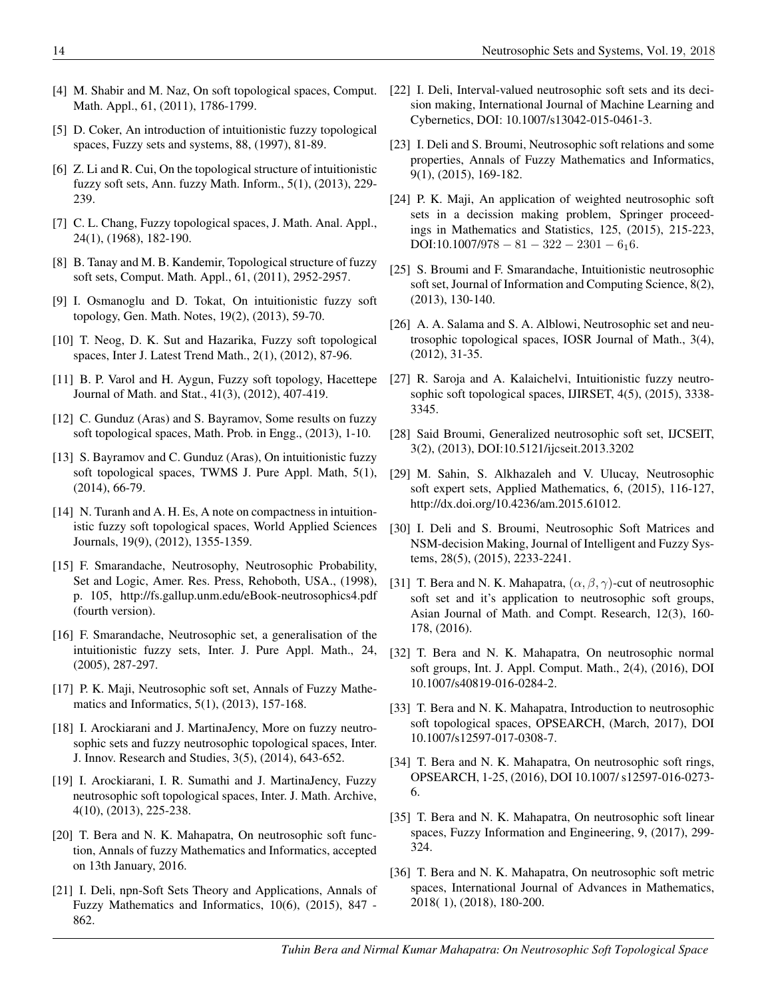- [4] M. Shabir and M. Naz, On soft topological spaces, Comput. Math. Appl., 61, (2011), 1786-1799.
- [5] D. Coker, An introduction of intuitionistic fuzzy topological spaces, Fuzzy sets and systems, 88, (1997), 81-89.
- [6] Z. Li and R. Cui, On the topological structure of intuitionistic fuzzy soft sets, Ann. fuzzy Math. Inform., 5(1), (2013), 229- 239.
- [7] C. L. Chang, Fuzzy topological spaces, J. Math. Anal. Appl., 24(1), (1968), 182-190.
- [8] B. Tanay and M. B. Kandemir, Topological structure of fuzzy soft sets, Comput. Math. Appl., 61, (2011), 2952-2957.
- [9] I. Osmanoglu and D. Tokat, On intuitionistic fuzzy soft topology, Gen. Math. Notes, 19(2), (2013), 59-70.
- [10] T. Neog, D. K. Sut and Hazarika, Fuzzy soft topological spaces, Inter J. Latest Trend Math., 2(1), (2012), 87-96.
- [11] B. P. Varol and H. Aygun, Fuzzy soft topology, Hacettepe Journal of Math. and Stat., 41(3), (2012), 407-419.
- [12] C. Gunduz (Aras) and S. Bayramov, Some results on fuzzy soft topological spaces, Math. Prob. in Engg., (2013), 1-10.
- [13] S. Bayramov and C. Gunduz (Aras), On intuitionistic fuzzy soft topological spaces, TWMS J. Pure Appl. Math, 5(1), (2014), 66-79.
- [14] N. Turanh and A. H. Es, A note on compactness in intuitionistic fuzzy soft topological spaces, World Applied Sciences Journals, 19(9), (2012), 1355-1359.
- [15] F. Smarandache, Neutrosophy, Neutrosophic Probability, Set and Logic, Amer. Res. Press, Rehoboth, USA., (1998), p. 105, http://fs.gallup.unm.edu/eBook-neutrosophics4.pdf (fourth version).
- [16] F. Smarandache, Neutrosophic set, a generalisation of the intuitionistic fuzzy sets, Inter. J. Pure Appl. Math., 24, (2005), 287-297.
- [17] P. K. Maji, Neutrosophic soft set, Annals of Fuzzy Mathematics and Informatics, 5(1), (2013), 157-168.
- [18] I. Arockiarani and J. MartinaJency, More on fuzzy neutrosophic sets and fuzzy neutrosophic topological spaces, Inter. J. Innov. Research and Studies, 3(5), (2014), 643-652.
- [19] I. Arockiarani, I. R. Sumathi and J. MartinaJency, Fuzzy neutrosophic soft topological spaces, Inter. J. Math. Archive, 4(10), (2013), 225-238.
- [20] T. Bera and N. K. Mahapatra, On neutrosophic soft function, Annals of fuzzy Mathematics and Informatics, accepted on 13th January, 2016.
- [21] I. Deli, npn-Soft Sets Theory and Applications, Annals of Fuzzy Mathematics and Informatics, 10(6), (2015), 847 - 862.
- [22] I. Deli, Interval-valued neutrosophic soft sets and its decision making, International Journal of Machine Learning and Cybernetics, DOI: 10.1007/s13042-015-0461-3.
- [23] I. Deli and S. Broumi, Neutrosophic soft relations and some properties, Annals of Fuzzy Mathematics and Informatics, 9(1), (2015), 169-182.
- [24] P. K. Maji, An application of weighted neutrosophic soft sets in a decission making problem, Springer proceedings in Mathematics and Statistics, 125, (2015), 215-223, DOI:10.1007/978 – 81 – 322 – 2301 – 616.
- [25] S. Broumi and F. Smarandache, Intuitionistic neutrosophic soft set, Journal of Information and Computing Science, 8(2), (2013), 130-140.
- [26] A. A. Salama and S. A. Alblowi, Neutrosophic set and neutrosophic topological spaces, IOSR Journal of Math., 3(4), (2012), 31-35.
- [27] R. Saroja and A. Kalaichelvi, Intuitionistic fuzzy neutrosophic soft topological spaces, IJIRSET, 4(5), (2015), 3338- 3345.
- [28] Said Broumi, Generalized neutrosophic soft set, IJCSEIT, 3(2), (2013), DOI:10.5121/ijcseit.2013.3202
- [29] M. Sahin, S. Alkhazaleh and V. Ulucay, Neutrosophic soft expert sets, Applied Mathematics, 6, (2015), 116-127, http://dx.doi.org/10.4236/am.2015.61012.
- [30] I. Deli and S. Broumi, Neutrosophic Soft Matrices and NSM-decision Making, Journal of Intelligent and Fuzzy Systems, 28(5), (2015), 2233-2241.
- [31] T. Bera and N. K. Mahapatra,  $(\alpha, \beta, \gamma)$ -cut of neutrosophic soft set and it's application to neutrosophic soft groups, Asian Journal of Math. and Compt. Research, 12(3), 160- 178, (2016).
- [32] T. Bera and N. K. Mahapatra, On neutrosophic normal soft groups, Int. J. Appl. Comput. Math., 2(4), (2016), DOI 10.1007/s40819-016-0284-2.
- [33] T. Bera and N. K. Mahapatra, Introduction to neutrosophic soft topological spaces, OPSEARCH, (March, 2017), DOI 10.1007/s12597-017-0308-7.
- [34] T. Bera and N. K. Mahapatra, On neutrosophic soft rings, OPSEARCH, 1-25, (2016), DOI 10.1007/ s12597-016-0273- 6.
- [35] T. Bera and N. K. Mahapatra, On neutrosophic soft linear spaces, Fuzzy Information and Engineering, 9, (2017), 299- 324.
- [36] T. Bera and N. K. Mahapatra, On neutrosophic soft metric spaces, International Journal of Advances in Mathematics, 2018( 1), (2018), 180-200.